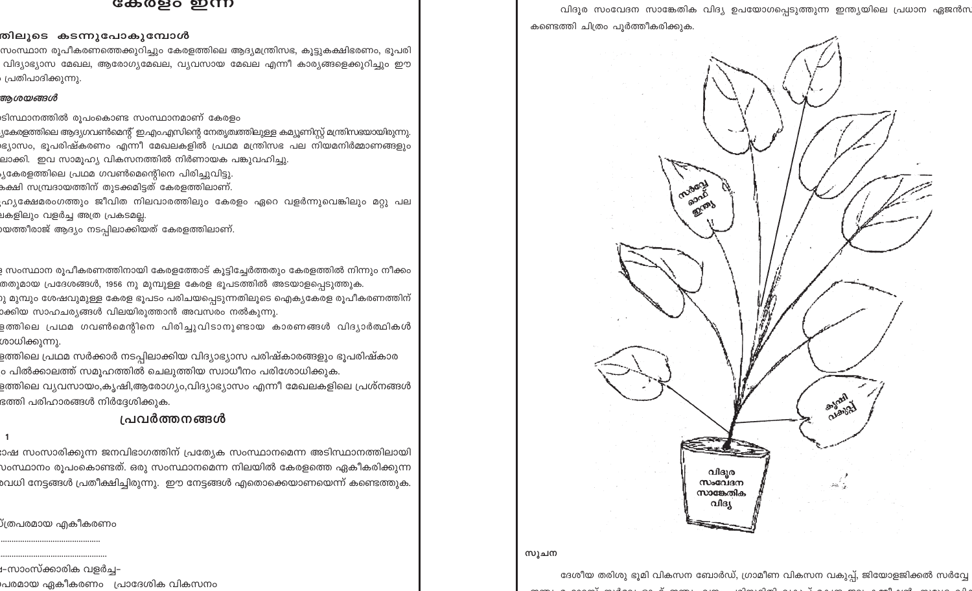### കേരളം ഇന്ന

### തിലൂടെ കടന്നുപോകുമ്പോൾ

സംസ്ഥാന രൂപീകരണത്തെക്കുറിച്ചും കേരളത്തിലെ ആദ്യമന്ത്രിസഭ, കൂട്ടുകക്ഷിഭരണം, ഭൂപരി വിദ്യാഭ്യാസ മേഖല, ആരോഗ്യമേഖല, വ്യവസായ മേഖല എന്നീ കാര്യങ്ങളെക്കുറിച്ചും ഈ പ്രതിപാദിക്കുന്നു.

## ആശയങ്ങൾ

ടിസ്ഥാനത്തിൽ രൂപംകൊണ്ട സംസ്ഥാനമാണ് കേരളം

- .<br>പ്രകേരളത്തിലെ ആദ്യഗവൺമെന്റ് ഇ.എം.എസിന്റെ നേതൃത്ഥത്തിലുള്ള കമ്യൂണിസ്റ്റ് മന്ത്രിസഭയായിരുന്നു. ഭ്യാസം, ഭൂപരിഷ്കരണം എന്നീ മേഖലകളിൽ പ്രഥമ മന്ത്രിസഭ പല നിയമനിർമ്മാണങ്ങളും ലാക്കി. ഇവ സാമൂഹ്യ വികസനത്തിൽ നിർണായക പങ്കുവഹിച്ചു.
- ്യകേരളത്തിലെ പ്രഥമ ഗവൺമെന്റിനെ പിരിച്ചുവിട്ടു.
- ക്ഷി സമ്പ്രദായത്തിന് തുടക്കമിട്ടത് കേരളത്തിലാണ്.
- ഹ്ര്യക്ഷേമരംഗത്തും ജീവിത നിലവാരത്തിലും കേരളം ഏറെ വളർന്നുവെങ്കിലും മറ്റു പല .<br>ചകളിലും വളർച്ച <mark>അത്ര പ്രകടമല്ല</mark>.
- )യത്തീരാജ് ആദ്യം നടപ്പിലാക്കിയത് കേരളത്തിലാണ<mark>്</mark>.

<sub>3</sub> സംസ്ഥാന രൂപീകരണത്തിനായി കേരളത്തോട് കൂട്ടിച്ചേർത്തതും കേരളത്തിൽ നിന്നും നീക്കം തതുമായ പ്രദേശങ്ങൾ, 1956 നു മുമ്പുള്ള കേരള ഭൂപടത്തിൽ അടയാളപ്പെടുത്തുക.

- <mark>ു മുമ്പും ശേഷവുമുള്ള കേരള ഭൂപടം പരിചയ</mark>പ്പെടുന്നതിലൂടെ ഐക്യകേരള രൂപീകരണത്തിന് ാക്കിയ സാഹചര്യങ്ങൾ വിലയിരുത്താൻ അവസരം നൽകുന്നു<mark>.</mark>
- ളത്തിലെ പ്രഥമ ഗവൺമെന്റിനെ പിരിച്ചുവിടാനുണ്ടായ കാരണങ്ങൾ വിദ്യാർത്ഥി<mark>ക</mark>ൾ ശാധിക്കുന്നു.
- ളത്തിലെ പ്രഥമ സർക്കാർ നടപ്പിലാക്കിയ വിദ്യാഭ്യാസ പരിഷ്കാരങ്ങളും ഭൂപരിഷ്കാര ം പിൽക്കാലത്ത് സമൂഹത്തിൽ ചെലുത്തിയ സ്വാധീനം പരിശോധിക്കുക.
- ളത്തിലെ വ്യവസായം,കൃഷി,ആരോഗ്യം,വിദ്യാഭ്യാസം എന്നീ മേഖലകളിലെ പ്രശ്നങ്ങൾ ഭത്തി പരിഹാരങ്ങൾ നിർദ്ദേശിക്കുക.

# പ്രവർത്തനങ്ങൾ

ാഷ സംസാരിക്കുന്ന ജനവിഭാഗത്തിന് പ്രത്യേക സംസ്ഥാനമെന്ന അടിസ്ഥാനത്തിലായി voസ്ഥാനം രൂപംകൊണ്ടത്. ഒരു സംസ്ഥാനമെന്ന നിലയിൽ കേരളത്തെ ഏകീകരിക്കുന്ന ം പ്രധി നേട്ടങ്ങൾ പ്രതീക്ഷിച്ചിരുന്നു. ഈ നേട്ടങ്ങൾ എതൊക്കെയാണയെന്ന് കണ്ടെത്തുക.

്ത്രപരമായ എകീകരണ<mark>ം</mark>

<sup>ച</sup>സാംസ്ക്കാരിക വളർച്–

പരമായ ഏകീകരണം - പ്രാദേശിക വികസനം

വിദൂര സംവേദന സാങ്കേതിക വിദ്യ ഉപയോഗപ്പെടുത്തുന്ന ഇന്ത്യയിലെ പ്രധാന ഏജൻസ കണ്ടെത്തി ചിത്രം പൂർത്തീകരിക്കുക.

miller

agab

### സുചന

ദേശീയ തരിശു ഭൂമി വികസന ബോർഡ്, ഗ്രാമീണ വികസന വകുപ്പ്, ജിയോളജിക്കൽ സർവ്വേ 

വിദൂര

 $m$ .com സാങ്കേതിക വിദൃ

asland

Clarge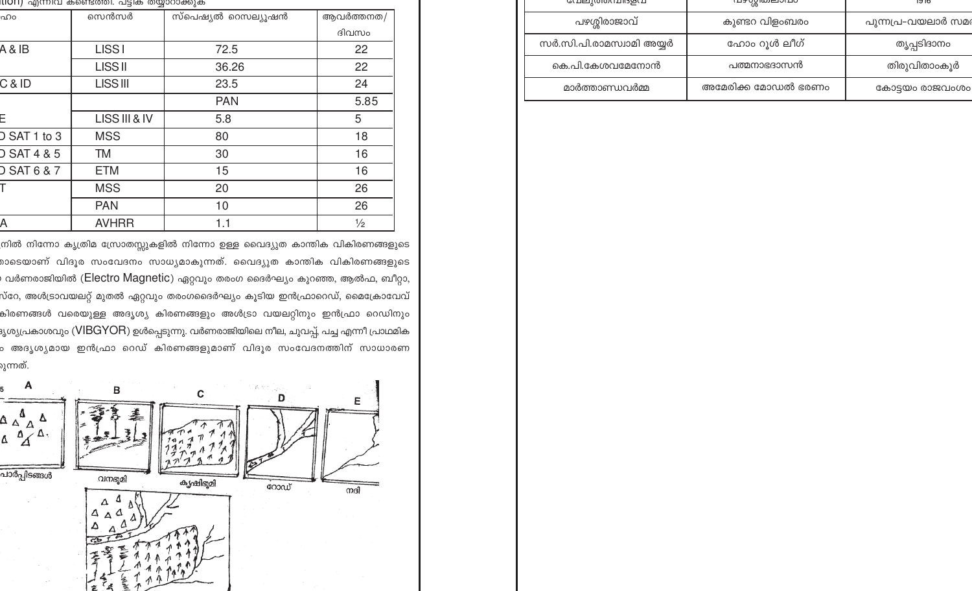|                        | <u>UUTI) എന്നപ്പ കണ്ടെത്തി. പട്ടിക തയ്യാറാക്കുക</u> |                    |               |
|------------------------|-----------------------------------------------------|--------------------|---------------|
| ഹം                     | സെൻസർ                                               | സ്പെഷ്യൽ റെസല്യൂഷൻ | ആവർത്തനത/     |
|                        |                                                     |                    | ദിവസം         |
| 4 & IB                 | <b>LISS1</b>                                        | 72.5               | 22            |
|                        | <b>LISS II</b>                                      | 36.26              | 22            |
| $C &$ ID               | <b>LISS III</b>                                     | 23.5               | 24            |
|                        |                                                     | <b>PAN</b>         | 5.85          |
| Ξ                      | LISS III & IV                                       | 5.8                | 5             |
| SAT 1 to 3             | <b>MSS</b>                                          | 80                 | 18            |
| <b>D SAT 4 &amp; 5</b> | TM                                                  | 30                 | 16            |
| <b>D SAT 6 &amp; 7</b> | <b>ETM</b>                                          | 15                 | 16            |
| T                      | <b>MSS</b>                                          | 20                 | 26            |
|                        | <b>PAN</b>                                          | 10                 | 26            |
| A                      | <b>AVHRR</b>                                        | 1.1                | $\frac{1}{2}$ |

.<br>നിൽ നിന്നോ കൃത്രിമ സ്രോതസ്സുകളിൽ നിന്നോ ഉള്ള വൈദ്യുത കാന്തിക വികിരണങ്ങളുടെ .<br>മാടെയാണ് വിദൂര സംവേദനം സാധ്യമാകുന്നത്. വൈദ്യുത കാന്തിക വികിരണങ്ങളുടെ , വർണരാജിയിൽ (Electro Magnetic) ഏറ്റവും തരംഗ ദൈർഘ്യം കുറഞ്ഞ, ആൽഫ, ബീറ്റാ, .<br>സ്റേ, അൾട്രാവയലറ്റ് മുതൽ ഏറ്റവും തരംഗദൈർഘ്യം കൂടിയ ഇൻഫ്രാറെഡ്, മൈക്രോവേവ് കിരണങ്ങൾ വരെയുള്ള അദൃശ്യ കിരണങ്ങളും അൾട്രാ വയലറ്റിനും ഇൻഫ്രാ റെഡിന<mark>ു</mark>ം ദൃശ്യപ്രകാശവും (VIBGYOR) ഉൾപ്പെടുന്നു. വർണരാജിയിലെ നീല, ചുവപ്പ്, പച്ച എന്നീ പ്രാഥമിക ം അദൃശ്യമായ ഇൻഫ്രാ റെഡ് കിരണങ്ങളുമാണ് വിദൂര സംവേദനത്തിന് സാധാരണ ുന്നത്.



| GLUELI KOIOKILUISPSLU    | വഴഗ്ഗിതലാവഠ        | סו פו              |
|--------------------------|--------------------|--------------------|
| പഴശ്ശിരാജാവ്             | കുണ്ടറ വിളംബരം     | പുന്നപ്ര-വയലാർ സമര |
| സർ.സി.പി.രാമസ്വാമി അയ്യർ | ഹോം റൂൾ ലീഗ്       | തൃപ്പടിദാനം        |
| കെ.പി.കേശവമേനോൻ          | പത്മനാഭദാസൻ        | തിരുവിതാംകൂർ       |
| മാർത്താണ്ഡവർമ്മ          | അമേരിക്ക മോഡൽ ഭരണം | കോട്ടയം രാജവംശം    |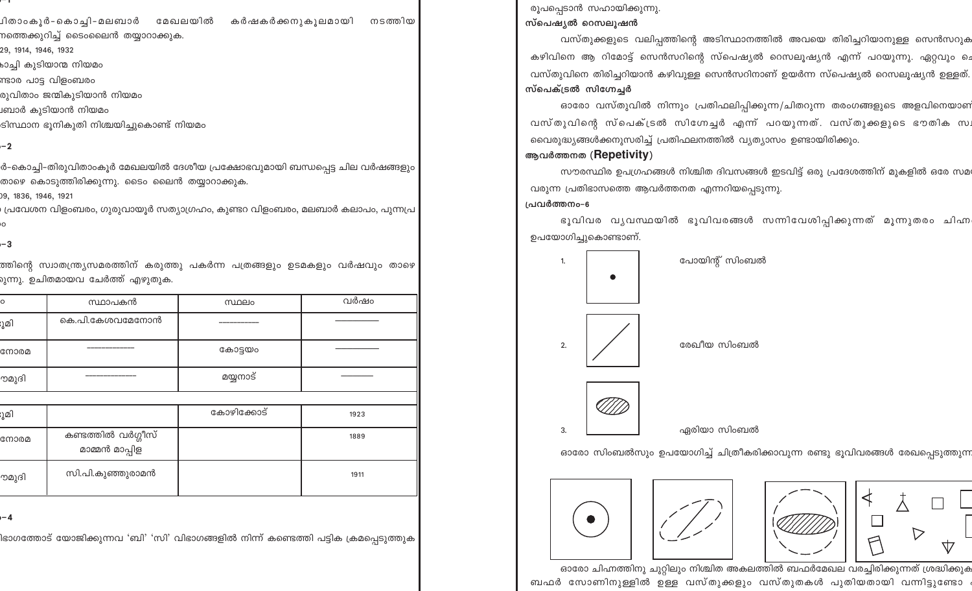⊔ിതാംകൂർ-കൊച്ചി-മലബാർ മേഖലയിൽ കർഷകർക്കനുകുലമായി നടത്തിയ

നത്തെക്കുറിച്ച് ടൈംലൈൻ തയ്യാറാക്കുക.

29, 1914, 1946, 1932

കാച്ചി കുടിയാന്മ നിയ<mark>മ</mark>ം

ണ്ടാര പാട്ട വിളംബരം

രുവിതാം ജന്മികുടിയാൻ നിയമം

പബാർ കുടിയാൻ നിയമ<mark>ം</mark>

ടിസ്ഥാന ഭുനികുതി നിശ്ചയിച്ചുകൊണ്ട് നിയമം

# $-2$

ർ-കൊച്ചി-തിരുവിതാംകൂർ മേഖലയിൽ ദേശീയ പ്രക്ഷോഭവുമായി ബന്ധപ്പെട്ട ചില വർഷങ്ങളും താഴെ കൊടുത്തിരിക്കുന്നു. ടൈം ലൈൻ തയ്യാറാക്കുക.

09, 1836, 1946, 1921

, പ്രവേശന വിളംബരം, ഗുരുവായൂർ സത്യാഗ്രഹം, കുണ്ടറ വിളംബരം, മലബാർ കലാപം, പുന്നപ<mark>്ര</mark>

 $-3$ 

ത്തിന്റെ സ്വാതന്ത്ര്യസമരത്തിന് കരുത്തു പകർന്ന പത്രങ്ങളും ഉടമകളും വർഷവും താഴെ <mark>ന്നു. ഉചിതമായവ ചേർത്ത് എഴുതുക.</mark>

| C     | സ്ഥാപകൻ                              | സ്ഥലം      | വർഷം |
|-------|--------------------------------------|------------|------|
| ൂമി   | കെ.പി.കേശവമേനോൻ                      |            |      |
| നോരമ  |                                      | കോട്ടയം    |      |
| ൗമുദി |                                      | മയ്യനാട്   |      |
|       |                                      |            |      |
| ൂമി   |                                      | കോഴിക്കോട് | 1923 |
| നോരമ  | കണ്ടത്തിൽ വർഗ്ഗീസ്<br>മാമ്മൻ മാപ്പിള |            | 1889 |
| ൗമുദി | സി.പി.കുഞ്ഞുരാമൻ                     |            | 1911 |

ı – 4

.<br>lഭാഗത്തോട് യോജിക്കുന്നവ 'ബി' 'സി' വിഭാഗങ്ങളിൽ നിന്ന് കണ്ടെത്തി പട്ടിക ക്രമപ്പെടുത്തു<mark>ക</mark>

രൂപപ്പെടാൻ സഹായിക്കുന്നു. സ്പെഷ്യൽ റെസലുഷൻ

വസ്തുക്കളുടെ വലിപ്പത്തിന്റെ അടിസ്ഥാനത്തിൽ അവയെ തിരിച്ചറിയാനുള്ള സെൻസറുക കഴിവിനെ ആ റിമോട്ട് സെൻസറിന്റെ സ്പെഷ്യൽ റെസലൂഷ്യൻ എന്ന് പറയുന്നു. ഏറ്റവും ചെ വസ്തുവിനെ തിരിച്ചറിയാൻ കഴിവുള്ള സെൻസറിനാണ് ഉയർന്ന സ്പെഷ്യൽ റെസലൂഷ്യൻ ഉള്ളത്. സ്പെക്ട്രൽ സിഗ്നേച്ചർ

ഓരോ വസ്തുവിൽ നിന്നും പ്രതിഫലിപ്പിക്കുന്ന/ചിതറുന്ന തരംഗങ്ങളുടെ അളവിനെയാണ വസ്തുവിന്റെ സ്പെക്ട്രൽ സിഗ്നേച്ചർ എന്ന് പറയുന്നത്. വസ്തുക്കളുടെ ഭൗതിക സ വൈരുദ്ധ്യങ്ങൾക്കനുസരിച്ച് പ്രതിഫലനത്തിൽ വ്യത്യാസം ഉണ്ടായിരിക്കും.

# ആവർത്തനത (Repetivity)

സൗരസ്ഥിര ഉപഗ്രഹങ്ങൾ നിശ്ചിത ദിവസങ്ങൾ ഇടവിട്ട് ഒരു പ്രദേശത്തിന് മുകളിൽ ഒരേ സമ വരുന്ന പ്രതിഭാസത്തെ ആവർത്തനത എന്നറിയപ്പെടുന്നു.

# പ്രവർത്തനം-6

ഭൂവിവര വൃവസ്ഥയിൽ ഭൂവിവരങ്ങൾ സന്നിവേശിപ്പിക്കുന്നത് മൂന്നുതരം ചിഹ്ന ഉപയോഗിച്ചുകൊണ്ടാണ്.



ഓരോ സിംബൽസും ഉപയോഗിച്ച് ചിത്രീകരിക്കാവുന്ന രണ്ടു ഭൂവിവരങ്ങൾ രേഖപ്പെടുത്തുന്ന

 $\triangleright$ 

立



ഓരോ ചിഹ്നത്തിനു ചുറ്റിലും നിശ്ചിത അകലത്തിൽ ബഫർമേഖല വരച്ചിരിക്കുന്നത് ശ്രദ്ധിക്കുക ബഫർ സോണിനുള്ളിൽ ഉള്ള വസ്തുക്കളും വസ്തുതകൾ പുതിയതായി വന്നിട്ടുണ്ടോ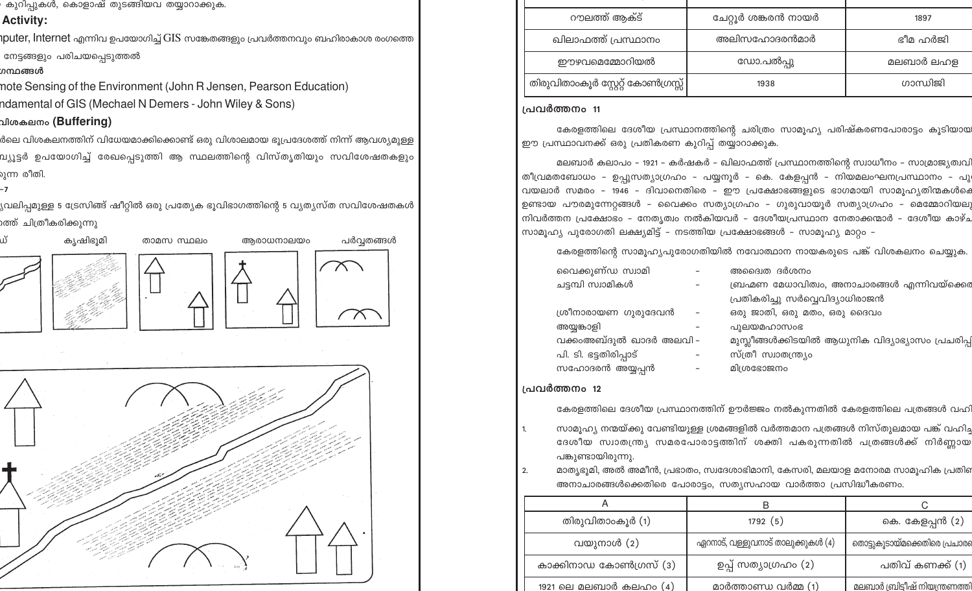കുറിപ്പുകൾ, കൊളാഷ് തുടങ്ങിയവ തയ്യാറാക്കുക.

# **Activity:**

 $\eta$ puter, <code>lnternet</code> എന്നിവ ഉപയോഗിച്ച്  $\overline{\rm GIS}$  സങ്കേതങ്ങളും പ്രവർത്തനവും ബഹിരാകാശ രംഗത്തെ നേട്ടങ്ങളും പരിചയപ്പെടുത്തൽ

# ഗന്ഥങ്ങൾ

note Sensing of the Environment (John R Jensen, Pearson Education) ndamental of GIS (Mechael N Demers - John Wiley & Sons)

# വിശകലനം (Buffering)

ർലെ വിശകലനത്തിന് വിധേയമാക്കിക്കൊണ്ട് ഒരു വിശാലമായ ഭൂപ്രദേശത്ത് നിന്ന് ആവശ്യമുള്ള വ്യൂട്ടർ ഉപയോഗിച്ച് രേഖപ്പെടുത്തി ആ സ്ഥലത്തിന്റെ വിസ്തൃതിയും സവിശേഷതകളു<mark>ം</mark> ുന്ന രീതി.

,<br>വലിപ്പമുള്ള 5 ട്രേസിങ്ങ് ഷീറ്റിൽ ഒരു പ്രത്യേക ഭൂവിഭാഗത്തിന്റെ 5 വ്യത്യസ്ത സവിശേഷതകൾ റത്ത് ചിത്രീകരിക്കുന്ന<mark>ു</mark>



| റൗലത്ത് ആക്ട്                      | ചേറ്റൂർ ശങ്കരൻ നായർ | 1897      |
|------------------------------------|---------------------|-----------|
| ഖിലാഫത്ത് പ്രസ്ഥാനം                | അലിസഹോദരൻമാർ        | ഭീമ ഹർജി  |
| ഈഴവമെമ്മോറിയൽ                      | ഡോ.പൽപ്പു           | മലബാർ ലഹള |
| തിരുവിതാംകൂർ സ്റ്റേറ്റ് കോൺഗ്രസ്സ് | 1938                | ഗാന്ധിജി  |

# പ്രവർത്തനം 11

കേരളത്തിലെ ദേശീയ പ്രസ്ഥാനത്തിന്റെ ചരിത്രം സാമൂഹ്യ പരിഷ്കരണപോരാട്ടം കൂടിയായ ഈ പ്രസ്ഥാവനക്ക് ഒരു പ്രതികരണ കുറിപ്പ് തയ്യാറാക്കുക.

മലബാർ കലാപം - 1921 - കർഷകർ - ഖിലാഫത്ത് പ്രസ്ഥാനത്തിന്റെ സ്വാധീനം - സാമ്രാജ്യത്വവി തീവ്രമതബോധം - ഉപ്പുസത്യാഗ്രഹം - പയ്യനൂർ - കെ. കേളപ്പൻ - നിയമലംഘനപ്രസ്ഥാനം - പു വയലാർ സമരം - 1946 - ദിവാനെതിരെ - ഈ പ്രക്ഷോഭങ്ങളുടെ ഭാഗമായി സാമൂഹ്യതിന്മകൾക് ഉണ്ടായ പൗരമുന്നേറ്റങ്ങൾ - വൈക്കം സത്യാഗ്രഹം - ഗുരുവായൂർ സത്യാഗ്രഹം - മെമ്മോറിയല നിവർത്തന പ്രക്ഷോഭം – നേതൃത്വം നൽകിയവർ – ദേശീയപ്രസ്ഥാന നേതാക്കന്മാർ – ദേശീയ കാഴ്ച സാമൂഹ്യ പുരോഗതി ലക്ഷ്യമിട്ട് – നടത്തിയ പ്രക്ഷോഭങ്ങൾ – സാമൂഹ്യ മാറ്റം –

കേരളത്തിന്റെ സാമൂഹ്യപുരോഗതിയിൽ നവോത്ഥാന നായകരുടെ പങ്ക് വിശകലനം ചെയ്യുക.

| വൈക്കുണ്ഡ സ്വാമി        | അദ്വൈത ദർശനം                                     |
|-------------------------|--------------------------------------------------|
| ചട്ടമ്പി സ്വാമികൾ       | ബ്രഹ്മണ മേധാവിത്വം, അനാചാരങ്ങൾ എന്നിവയ്ക്കെ      |
|                         | പ്രതികരിച്ചു സർവ്വെവിദ്യാധിരാജൻ                  |
| ശ്രീനാരായണ ഗുരുദേവൻ     | ഒരു ജാതി, ഒരു മതം, ഒരു ദൈവം                      |
| അയുങ്കാളി               | പുലയമഹാസംഭ                                       |
| വക്കംഅബ്ദുൽ ഖാദർ അലവി – | മുസ്ലീങ്ങൾക്കിടയിൽ ആധുനിക വിദ്യാഭ്യാസം പ്രചരിപ്പ |
| പി. ടി. ഭട്ടതിരിപ്പാട്  | സ്ത്രീ സ്വാതന്ത്ര്യം                             |
| സഹോദരൻ അയ്യപ്പൻ         | മിശ്രഭോജനം                                       |
|                         |                                                  |

# പ്രവർത്തനം 12

കേരളത്തിലെ ദേശീയ പ്രസ്ഥാനത്തിന് ഊർജ്ജം നൽകുന്നതിൽ കേരളത്തിലെ പത്രങ്ങൾ വഹി

സാമുഹ്യ നന്മയ്ക്കു വേണ്ടിയുള്ള ശ്രമങ്ങളിൽ വർത്തമാന പത്രങ്ങൾ നിസ്തുലമായ പങ്ക് വഹിച ദേശീയ സ്വാതന്ത്ര്യ സമരപോരാട്ടത്തിന് ശക്തി പകരുന്നതിൽ പത്രങ്ങൾക്ക് നിർണ്ണായ പങ്കുണ്ടായിരുന്നു.

മാത്യഭൂമി, അൽ അമീൻ, പ്രഭാതം, സ്വദേശാഭിമാനി, കേസരി, മലയാള മനോരമ സാമൂഹിക പ്രതി  $2.$ അനാചാരങ്ങൾക്കെതിരെ പോരാട്ടം, സത്യസഹായ വാർത്താ പ്രസിദ്ധീകരണം.

|                               | B                                 |                                       |
|-------------------------------|-----------------------------------|---------------------------------------|
| തിരുവിതാംകൂർ (1)              | 1792(5)                           | കെ. കേളപ്പൻ (2)                       |
| വയുനാൾ (2)                    | ഏറനാട്, വള്ളുവനാട് താലുക്കുകൾ (4) | തൊട്ടുകൂടായ്മക്കെതിരെ പ്രചാരം         |
| കാക്കിനാഡ കോൺഗ്രസ് (3)        | ഉപ്പ് സത്യാഗ്രഹം (2)              | പതിവ് കണക്ക് (1)                      |
| <u>1921 ലെ മലബാർ കലഹം (4)</u> | <u>മാർത്താണ്ഡ വർമ്മ (1)</u>       | <u>മലബാർ ബ്രിട്ടീഷ് നിയന്ത്രണത്ത്</u> |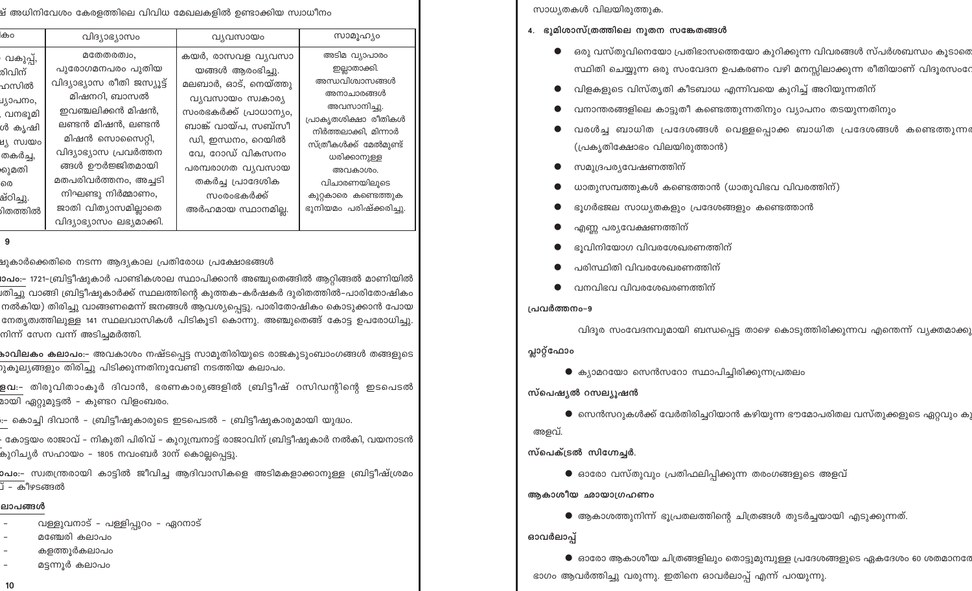.<br>ഷ് അധിനിവേശം കേരളത്തിലെ വിവിധ മേഖലകളിൽ ഉണ്ടാക്കിയ സ്വാധീനം

| കാ                                                                                                                                   | വിദ്യാഭ്യാസം                                                                                                                                                                                                                                                                            | വ്യവസായം                                                                                                                                                                                                                                                  | സാമൂഹ്യം                                                                                                                                                                                                                                               |
|--------------------------------------------------------------------------------------------------------------------------------------|-----------------------------------------------------------------------------------------------------------------------------------------------------------------------------------------------------------------------------------------------------------------------------------------|-----------------------------------------------------------------------------------------------------------------------------------------------------------------------------------------------------------------------------------------------------------|--------------------------------------------------------------------------------------------------------------------------------------------------------------------------------------------------------------------------------------------------------|
| വകുപ്പ്,<br>രിവിന്<br>ഹസിൽ<br>്യാപനം,<br>, വനഭൂമി<br>ൾ കൃഷി<br>പ്ന് ഗ്നന്താ<br>തകർച്ച,<br><b>കുമതി</b><br>രെ<br>ഷ്ഠിച്ചു.<br>ിതത്തിൽ | മതേതരത്വം,<br>പുരോഗമനപരം പുതിയ<br>വിദ്യാഭ്യാസ രീതി ജസ്യൂട്ട്<br>മിഷനറി, ബാസൽ<br>ഇവഞ്ചലിക്കൻ മിഷൻ,<br>ലണ്ടൻ മിഷൻ, ലണ്ടൻ<br>മിഷൻ സൊസൈറ്റി,<br>വിദ്യാഭ്യാസ പ്രവർത്തന<br>ങ്ങൾ ഊർജ്ജിതമായി<br>മതപരിവർത്തനം, അച്ചടി<br>നിഘണ്ടു നിർമ്മാണം,<br>ജാതി വിത്യാസമില്ലാതെ<br>വിദ്യാഭ്യാസം ലഭ്യമാക്കി. | കയർ, രാസവള വ്യവസാ<br>യങ്ങൾ ആരംഭിച്ചു.<br>മലബാർ, ഓട്, നെയ്ത്തു<br>വ്യവസായം സ്വകാര്യ<br>സംരഭകർക്ക് പ്രാധാന്യം,<br>ബാങ്ക് വായ്പ, സബ്സീ<br>ഡി, ഇന്ധനം, റെയിൽ<br>വേ, റോഡ് വികസനം<br>പരമ്പരാഗത വ്യവസായ<br>തകർച്ച പ്രാദേശിക<br>സംരംഭകർക്ക്<br>അർഹമായ സ്ഥാനമില്ല. | അടിമ വ്യാപാരം<br>ഇല്ലാതാക്കി.<br>അന്ധവിശ്വാസങ്ങൾ<br>അനാചാരങ്ങൾ<br>അവസാനിച്ചു.<br>പ്രാകൃതശിക്ഷാ രീതികൾ<br>നിർത്തലാക്കി, മിന്നാർ<br>സ്ത്രീകൾക്ക് മേൽമുണ്ട്<br>ധരിക്കാനുള്ള<br>അവകാശം.<br>വിചാരണയിലൂടെ<br>കുറ്റകാരെ കണ്ടെത്തുക<br>ഭൂനിയമം പരിഷ്ക്കരിച്ചു. |
|                                                                                                                                      |                                                                                                                                                                                                                                                                                         |                                                                                                                                                                                                                                                           |                                                                                                                                                                                                                                                        |

9

ച്ചുകാർക്കെതിരെ നടന്ന ആദ്യകാല പ്രതിരോധ പ്രക്ഷോഭങ്<mark>ങ</mark>ൾ

iാപം:– 1721-ബ്രിട്ടീഷുകാർ പാണ്ടികശാല സ്ഥാപിക്കാൻ അഞ്ചുതെങ്ങിൽ ആറ്റിങ്ങൽ മാണിയിൽ iതിച്ചു വാങ്ങി ബ്രിട്ടീഷുകാർക്ക് സ്ഥലത്തിന്റെ കുത്തക-കർഷകർ ദുരിതത്തിൽ-പാരിതോഷിക<mark>ം</mark> നൽകിയ) തിരിച്ചു വാങ്ങണമെന്ന് ജനങ്ങൾ ആവശ്യപ്പെട്ടു. പാരിതോഷികം കൊടുക്കാൻ പോയ നേതൃത്വത്തിലുള്ള 141 സ്ഥലവാസികൾ പിടികൂടി കൊന്നു. അഞ്ചുതെങ്ങ് കോട്ട ഉപരോധിച്ചു. നിന്ന് സേന വന്ന് അടിച്ചമർത്തി.

**കാവിലകം കലാപം:-** അവകാശം നഷ്ടപ്പെട്ട സാമൂതിരിയുടെ രാജകുടുംബാംഗങ്ങൾ തങ്ങളുടെ .<br>റൂകൂല്യങ്ങളും തിരിച്ചു പിടിക്കുന്നതിനുവേണ്ടി നടത്തിയ കലാപം.

<mark>ളവ:-</mark> തിരുവിതാംകൂർ ദിവാൻ, ഭരണകാര്യങ്ങളിൽ ബ്രിട്ടീഷ് റസിഡന്റിന്റെ ഇടപെടൽ മായി ഏറ്റുമുട്ടൽ – കുണ്ടറ വിള<mark>ം</mark>ബരം.

..- കൊച്ചി ദിവാൻ - ബ്രിട്ടീഷുകാരുടെ ഇടപെടൽ - ബ്രിട്ടീഷുകാരുമായി യുദ്ധ<mark>ം</mark>.

- കോട്ടയം രാജാവ് – നികുതി പിരിവ് – കുറുമ്പ്രനാട്ട് രാജാവിന് ബ്രിട്ടീഷുകാർ നൽകി, വയനാടൻ കുറിച്യർ സഹായം – 1805 നവംബർ 30ന് കൊല്ലപ്പെട്ടു.

ാപം:– സ്വതന്ത്രരായി കാട്ടിൽ ജീവിച്ച ആദിവാസികളെ അടിമകളാക്കാനുള്ള ബ്രിട്ടീഷ്ശ്രമം 

### ലാപങ്ങൾ

വള്ളുവനാട് - പള്ളിപ്പുറം - ഏറനാട്

മഞ്ചേരി കലാപം

കളത്തൂർകലാപം

മട്ടന്നൂർ കലാപം  $\overline{\phantom{a}}$ 

 $10$ 

സാധ്യതകൾ വിലയിരുത്തുക.

- 4. ഭൂമിശാസ്ത്രത്തിലെ നൂതന സങ്കേതങ്ങൾ
	- ഒരു വസ്തുവിനെയോ പ്രതിഭാസത്തെയോ കുറിക്കുന്ന വിവരങ്ങൾ സ്പർശബന്ധം കൂടാതെ സ്ഥിതി ചെയ്യുന്ന ഒരു സംവേദന ഉപകരണം വഴി മനസ്സിലാക്കുന്ന രീതിയാണ് വിദൂരസംഭ
	- വിളകളുടെ വിസ്തൃതി കീടബാധ എന്നിവയെ കുറിച്ച് അറിയുന്നതിന്
	- വനാന്തരങ്ങളിലെ കാട്ടുതീ കണ്ടെത്തുന്നതിനും വ്യാപനം തടയുന്നതിനും
	- വരൾച്ച ബാധിത പ്രദേശങ്ങൾ വെള്ളപ്പൊക്ക ബാധിത പ്രദേശങ്ങൾ കണ്ടെത്തുന്നത (പ്രകൃതിക്ഷോഭം വിലയിരുത്താൻ)

വിദൂര സംവേദനവുമായി ബന്ധപ്പെട്ട താഴെ കൊടുത്തിരിക്കുന്നവ എന്തെന്ന് വ്യക്തമാക്കു

 $\bullet$  സെൻസറുകൾക്ക് വേർതിരിച്ചറിയാൻ കഴിയുന്ന ഭൗമോപരിതല വസ്തുക്കളുടെ ഏറ്റവും കു

 $\bullet$  ഓരോ ആകാശീയ ചിത്രങ്ങളിലും തൊട്ടുമുമ്പുള്ള പ്രദേശങ്ങളുടെ ഏകദേശം 60 ശതമാനരേ

- സമുദ്രപര്യവേഷണത്തിന്
- ധാതുസമ്പത്തുകൾ കണ്ടെത്താൻ (ധാതുവിഭവ വിവരത്തിന്)
- ഭൂഗർഭജല സാധ്യതകളും പ്രദേശങ്ങളും കണ്ടെത്താൻ

 $\bullet$  ക്യാമറയോ സെൻസറോ സ്ഥാപിച്ചിരിക്കുന്നപ്രതലം

ഭാഗം ആവർത്തിച്ചു വരുന്നു. ഇതിനെ ഓവർലാപ്പ് എന്ന് പറയുന്നു.

 $\bullet$  ഓരോ വസ്തുവും പ്രതിഫലിപ്പിക്കുന്ന തരംഗങ്ങളുടെ അളവ്

 $\bullet$  ആകാശത്തുനിന്ന് ഭുപ്രതലത്തിന്റെ ചിത്രങ്ങൾ തുടർച്ചയായി എടുക്കുന്നത്.

- 
- 
- എണ്ണ പര്യവേക്ഷണത്തിന്
- 
- ഭൂവിനിയോഗ വിവരശേഖരണത്തിന്
- 
- പരിസ്ഥിതി വിവരശേഖരണത്തിന്
- 
- 
- വനവിഭവ വിവരശേഖരണത്തിന്
- 

പ്രവർത്തനം-9

സ്പെഷ്യൽ റസല്യൂഷൻ

സ്പെക്ട്രൽ സിഗ്നേച്ചർ.

ആകാശീയ ഛായാഗ്രഹണം

പ്ലാറ്റ്ഫോം

അളവ്.

ഓവർലാപ്പ്

- 
- 
- 
- 
-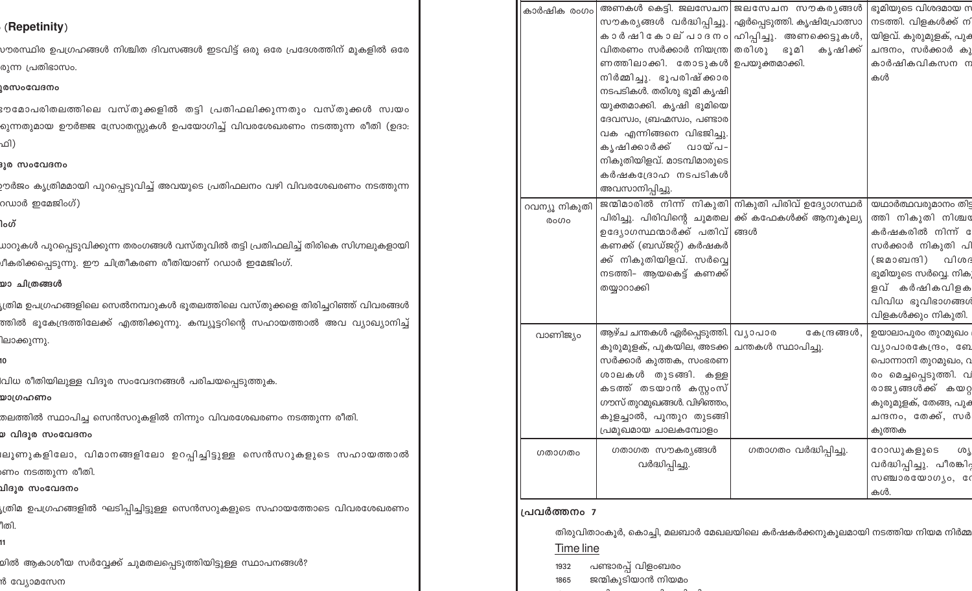| കാർഷിക രംഗം   | വിതരണം സർക്കാർ നിയന്ത്ര  തരിശു<br>ണത്തിലാക്കി. തോടുകൾ  ഉപയുക്തമാക്കി.<br>നിർമ്മിച്ചു. ഭൂപരിഷ്ക്കാര<br>നടപടികൾ. തരിശു ഭൂമി കൃഷി<br>യുക്തമാക്കി. കൃഷി ഭൂമിയെ<br>ദേവസ്വം, ബ്രഹ്മസ്വം, പണ്ടാര<br>വക എന്നിങ്ങനെ വിഭജിച്ചു.<br>കൃഷിക്കാർക്ക്<br>വായ്പ- | അണകൾ കെട്ടി. ജലസേചന ജലസേചന സൗകര്യങ്ങൾ<br>സൗകര്യങ്ങൾ വർദ്ധിപ്പിച്ചു.  ഏർപ്പെടുത്തി. കൃഷിപ്രോത്സാ<br>കാർഷികോല് പാദനം ഹിപ്പിച്ചു. അണക്കെട്ടുകൾ,<br>ഭൂമി<br>കൃഷിക്ക് | ഭൂമിയുടെ വിശദമായ സ<br>നടത്തി. വിളകൾക്ക് നി<br>യിളവ്. കുരുമുളക്, പുക<br>ചന്ദനം, സർക്കാർ കു<br>കാർഷികവികസന ന<br>കൾ                                                                       |
|---------------|--------------------------------------------------------------------------------------------------------------------------------------------------------------------------------------------------------------------------------------------------|------------------------------------------------------------------------------------------------------------------------------------------------------------------|----------------------------------------------------------------------------------------------------------------------------------------------------------------------------------------|
| റവന്യൂ നികുതി | നികുതിയിളവ്. മാടമ്പിമാരുടെ<br>കർഷകദ്രോഹ നടപടികൾ<br>അവസാനിപ്പിച്ചു.                                                                                                                                                                               | ജന്മിമാരിൽ നിന്ന് നികുതി നികുതി പിരിവ് ഉദ്യോഗസ്ഥർ                                                                                                                | യഥാർത്ഥവരുമാനം തിട്ട                                                                                                                                                                   |
| രാഗം          | ഉദ്യോഗസ്ഥന്മാർക്ക് പതിവ് ങ്ങൾ<br>കണക്ക് (ബഡ്ജറ്റ്) കർഷകർ<br>ക്ക് നികുതിയിളവ്. സർവ്വെ<br>നടത്തി- ആയകെട്ട് കണക്ക്<br>തയ്യാറാക്കി                                                                                                                   | പിരിച്ചു. പിരിവിന്റെ ചുമതല ക്ക് കഫേകൾക്ക് ആനുകൂല്യ                                                                                                               | ത്തി നികുതി നിശ്ചര<br>കർഷകരിൽ നിന്ന് േ<br>സർക്കാർ നികുതി പി<br>(ജമാബന്ദി)<br>വിശദ<br>ഭൂമിയുടെ സർവ്വെ. നികു<br>ളവ് കർഷികവിളക<br>വിവിധ ഭൂവിഭാഗങ്ങൾ<br>വിളകൾക്കും നികുതി.                 |
| വാണിജ്യം      | ആഴ്ച ചന്തകൾ ഏർപ്പെടുത്തി.  വ്യാപാര<br>കുരുമുളക്, പുകയില, അടക്ക  ചന്തകൾ സ്ഥാപിച്ചു.<br>സർക്കാർ കുത്തക, സംഭരണ<br>ശാലകൾ തുടങ്ങി. കള്ള<br>കടത്ത് തടയാൻ കസ്റ്റംസ്<br>ഗൗസ് തുറമുഖങ്ങൾ. വിഴിഞ്ഞം,<br>കുളച്ചാൽ, പൂന്തുറ തുടങ്ങി<br>പ്രമുഖമായ ചാലകമ്പോളം  | കേന്ദ്രങ്ങൾ,                                                                                                                                                     | ഉയാലാപുരം തുറമുഖം<br>വ്യാപാരകേന്ദ്രം, ബേ<br>പൊന്നാനി തുറമുഖം, വ<br>രം മെച്ചപ്പെടുത്തി. വ<br>രാജ്യങ്ങൾക്ക് കയറ്റ<br>കുരുമുളക്, തേങ്ങ, പു <mark>ക</mark><br>ചന്ദനം, തേക്ക്, സർ<br>കുത്തക |
| ഗതാഗതം        | ഗതാഗത സൗകര്യങ്ങൾ<br>വർദ്ധിപ്പിച്ചു.                                                                                                                                                                                                              | ഗതാഗതം വർദ്ധിപ്പിച്ചു.                                                                                                                                           | റോഡുകളുടെ<br>ശൂ<br>വർദ്ധിപ്പിച്ചു. പീരങ്കിറ്റ<br>സഞ്ചാരയോഗൃം, ശേ<br>കൾ.                                                                                                                |

## പ്രവർത്തനം 7

തിരുവിതാംകുർ, കൊച്ചി, മലബാർ മേഖലയിലെ കർഷകർക്കനുകൂലമായി നടത്തിയ നിയമ നിർമ്മ Time line

- പണ്ടാരപ്പ് വിളംബരം 1932
- ജന്മികൂടിയാൻ നിയമം 1865
	-

# (Repetinity)

vൗരസ്ഥിര ഉപഗ്രഹങ്ങൾ നിശ്ചിത ദിവസങ്ങൾ ഇടവിട്ട് ഒരു ഒരേ പ്രദേശത്തിന് മുകളിൽ ഒര<mark>േ</mark> രുന്ന പ്രതിഭാസം.

## **ൂരസംവേദനം**

ഃൗമോപരിതലത്തിലെ വസ്തുക്കളിൽ തട്ടി പ്രതിഫലിക്കുന്നതും വസ്തുക്കൾ സ്വയം റുന്നതുമായ ഊർജ്ജ സ്രോതസ്സുകൾ ഉപയോഗിച്ച് വിവരശേഖരണം നടത്തുന്ന രീതി (ഉദാ: ഫി)

## ദൂര സംവേദനം

ാർജം കൃത്രിമമായി പുറപ്പെടുവിച്ച് അവയുടെ പ്രതിഫലനം വഴി വിവരശേഖരണം നടത്തുന്ന റഡാർ ഇമേജിംഗ്)

# ໄວທັ

ധാറുകൾ പുറപ്പെടുവിക്കുന്ന തരംഗങ്ങൾ വസ്തുവിൽ തട്ടി പ്രതിഫലിച്ച് തിരികെ സിഗ്നലുകളായി .<br>ചീകരിക്കപ്പെടുന്നു. ഈ ചിത്രീകരണ രീതിയാണ് റഡാർ ഇമേജിംഗ്.

# യാ ചിത്രങ്ങൾ

.<br>ഗ്രിമ ഉപഗ്രഹങ്ങളിലെ സെൽനമ്പറുകൾ ഭൂതലത്തിലെ വസ്തുക്കളെ തിരിച്ചറിഞ്ഞ് വിവരങ്ങൾ ത്തിൽ ഭൂകേന്ദ്രത്തിലേക്ക് എത്തിക്കുന്നു. കമ്പ്യൂട്ടറിന്റെ സഹായത്താൽ അവ വ്യാഖ്യാനിച്ച് ിലാക്കുന്നു.

.<br>വിധ രീതിയിലുള്ള വിദൂര സംവേദനങ്ങൾ പരിചയപ്പെടുത്തു<mark>ക</mark>.

## യാഗ്രഹണം

.<br>തലത്തിൽ സ്ഥാപിച്ച സെൻസറുകളിൽ നിന്നും വിവരശേഖരണം നടത്തുന്ന രീതി.

### മ വിദൂര സംവേദനം

iലൂണുകളിലോ, വിമാനങ്ങളിലോ ഉറപ്പിച്ചിട്ടുള്ള സെൻസറുകളുടെ സഹായത്ത<mark>ാ</mark>ൽ ണം നടത്തുന്ന രീതി.

## വിദൂര സംവേദനം

്രത്രിമ ഉപഗ്രഹങ്ങളിൽ ഘടിപ്പിച്ചിട്ടുള്ള സെൻസറുകളുടെ സഹായത്തോടെ വിവരശേഖരണം ീതി.

.<br>മിൽ ആകാശീയ സർവ്വേക്ക് ചുമതലപ്പെടുത്തിയിട്ടുള്ള സ്ഥാപനങ്ങൾ?

## ൻ വ്യോമസേന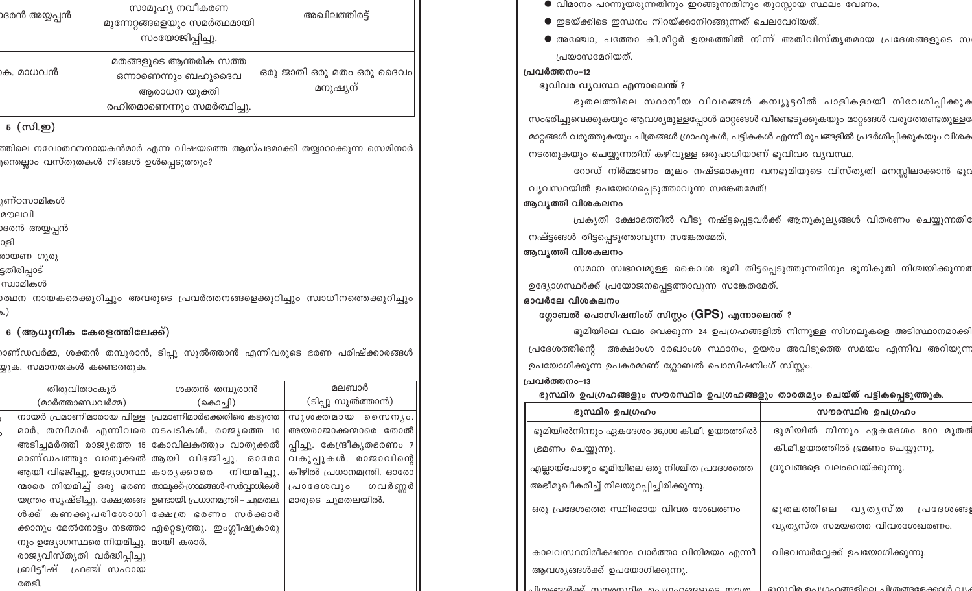| ാദരൻ അയ്യപ്പൻ | സാമൂഹ്യ നവീകരണ<br>മുന്നേറ്റങ്ങളെയും സമർത്ഥമായി<br>സംയോജിപ്പിച്ചു.                           | അഖിലത്തിരട്ട്                           |
|---------------|---------------------------------------------------------------------------------------------|-----------------------------------------|
| കെ. മാധവൻ     | മതങ്ങളുടെ ആന്തരിക സത്ത<br>ഒന്നാണെന്നും ബഹുദൈവ<br>ആരാധന യുക്തി<br>രഹിതമാണെന്നും സമർത്ഥിച്ചു. | ഒരു ജാതി ഒരു മതം ഒരു ദൈവം  <br>മനുഷ്യന് |

## 5 (സി.ഇ)

ത്തിലെ നവോത്ഥനനായകൻമാർ എന്ന വിഷയത്തെ ആസ്പദമാക്കി തയ്യാറാക്കുന്ന സെമിനാർ )ന്തെല്ലാം വസ്തുതകൾ നിങ്ങൾ ഉൾപ്പെടുത്<mark>തു</mark>ം?

<sub>1</sub>ണ്ഠസാമികൾ

മൗലവി

ാദരൻ അയ്യപ്പൻ

ാളി

രായണ ഗുരു

ട്ടതിരിപ്പാട്

സ്വാമികൾ

<u>) ത്ഥന നായകരെക്കുറിച്ചും അവരുടെ പ്രവർത്തനങ്ങളെക്കുറിച്ചും സ്വാധീനത്തെക്കുറിച്ചും </u>

# 6 (ആധുനിക കേരളത്തിലേക്ക്)

ാണ്ഡവർമ്മ, ശക്തൻ തമ്പുരാൻ, ടിപ്പു സുൽത്താൻ എന്നിവരുടെ ഭരണ പരിഷ്ക്കാരങ്ങൾ .<br>യ്യുക. സമാനതകൾ കണ്ടെത്തു<mark>ക</mark>.

| തിരുവിതാംകൂർ                           | ശക്തൻ തമ്പുരാൻ                                                 | മലബാർ                       |
|----------------------------------------|----------------------------------------------------------------|-----------------------------|
| (മാർത്താണ്ഡവർമ്മ)                      | (കൊച്ചി)                                                       | (ടിപ്പു സുൽത്താൻ)           |
|                                        | നായർ പ്രമാണിമാരായ പിള്ള  പ്രമാണിമാർക്കെതിരെ കടുത്ത             | സുശക്തമായ സൈനൃം.            |
|                                        | മാർ, തമ്പിമാർ എന്നിവരെ നടപടികൾ. രാജ്യത്തെ 10                   | അയരാജാക്കന്മാരെ തോൽ         |
|                                        | അടിച്ചമർത്തി രാജ്യത്തെ 15 കോവിലകത്തും വാതുക്കൽ                 | പ്പിച്ചു. കേന്ദ്രീകൃതഭരണം 7 |
|                                        | മാണ്ഡപത്തും വാതുക്കൽ ആയി വിഭജിച്ചു. ഓരോ                        | വകുപ്പുകൾ. രാജാവിന്റെ       |
|                                        | ആയി വിഭജിച്ചു. ഉദ്യോഗസ്ഥ  കാര്യക്കാരെ നിയമിച്ചു.               | കീഴിൽ പ്രധാനമന്ത്രി. ഓരോ    |
|                                        | ന്മാരെ നിയമിച്ച് ഒരു ഭരണ താലൂക്ക്ഗ്രാമങ്ങൾ-സർവ്വാധികൾ          | പ്രാദേശവും ഗവർണ്ണർ          |
|                                        | യന്ത്രം സൃഷ്ടിച്ചു. ക്ഷേത്രങ്ങ  ഉണ്ടായി പ്രധാനമന്ത്രി – ചുമതല. | മാരുടെ ചുമതലയിൽ.            |
|                                        | ൾക്ക് കണക്കുപരിശോധി ക്ഷേത്ര ഭരണം സർക്കാർ                       |                             |
|                                        | ക്കാനും മേൽനോട്ടം നടത്താ ഏറ്റെടുത്തു. ഇംഗ്ലീഷുകാരു             |                             |
| നും ഉദ്യോഗസ്ഥരെ നിയമിച്ചു.  മായി കരാർ. |                                                                |                             |
| രാജ്യവിസ്തൃതി വർദ്ധിപ്പിച്ചു           |                                                                |                             |
| ബ്രിട്ടീഷ് ഫ്രഞ്ച് സഹായ                |                                                                |                             |
| തേടി.                                  |                                                                |                             |

- $\bullet$  വിമാനം പറന്നുയരുന്നതിനും ഇറങ്ങുന്നതിനും തുറസ്സായ സ്ഥലം വേണം.
- $\bullet$  ഇടയ്ക്കിടെ ഇന്ധനം നിറയ്ക്കാനിറങ്ങുന്നത് ചെലവേറിയത്.
- $\bullet$  അഞ്ചോ, പത്തോ കി.മീറ്റർ ഉയരത്തിൽ നിന്ന് അതിവിസ്തൃതമായ പ്രദേശങ്ങളുടെ സ പ്രയാസമേറിയത്.

പ്രവർത്തനം-12

ഭൂവിവര വ്യവസ്ഥ എന്നാലെന്ത് ?

ഭൂതലത്തിലെ സ്ഥാനീയ വിവരങ്ങൾ കമ്പ്യൂട്ടറിൽ പാളികളായി നിവേശിപ്പിക്കുക സംഭരിച്ചുവെക്കുകയും ആവശ്യമുള്ളപ്പോൾ മാറ്റങ്ങൾ വീണ്ടെടുക്കുകയും മാറ്റങ്ങൾ വരുത്തേണ്ടതുള്ള മാറ്റങ്ങൾ വരുത്തുകയും ചിത്രങ്ങൾ ഗ്രാഫുകൾ, പട്ടികകൾ എന്നീ രൂപങ്ങളിൽ പ്രദർശിപ്പിക്കുകയും വിശക നടത്തുകയും ചെയ്യുന്നതിന് കഴിവുള്ള ഒരുപാധിയാണ് ഭൂവിവര വ്യവസ്ഥ.

റോഡ് നിർമ്മാണം മൂലം നഷ്ടമാകുന്ന വനഭൂമിയുടെ വിസ്തൃതി മനസ്സിലാക്കാൻ ഭൂറ വ്യവസ്ഥയിൽ ഉപയോഗപ്പെടുത്താവുന്ന സങ്കേതമേത്!

# ആവൃത്തി വിശകലനം

പ്രകൃതി ക്ഷോഭത്തിൽ വീടു നഷ്ട്ടപ്പെട്ടവർക്ക് ആനുകൂല്യങ്ങൾ വിതരണം ചെയ്യുന്നതി നഷ്ട്ടങ്ങൾ തിട്ടപ്പെടുത്താവുന്ന സങ്കേതമേത്.

# ആവൃത്തി വിശകലനം

സമാന സ്വഭാവമുള്ള കൈവശ ഭൂമി തിട്ടപ്പെടുത്തുന്നതിനും ഭൂനികുതി നിശ്ചയിക്കുന്നര ഉദ്യോഗസ്ഥർക്ക് പ്രയോജനപ്പെട്ടത്താവുന്ന സങ്കേതമേത്.

ഓവർലേ വിശകലനം

ഗ്ലോബൽ പൊസിഷനിംഗ് സിസ്റ്റം (GPS) എന്നാലെന്ത് ?

ഭൂമിയിലെ വലം വെക്കുന്ന 24 ഉപഗ്രഹങ്ങളിൽ നിന്നുള്ള സിഗ്നലുകളെ അടിസ്ഥാനമാക്കി പ്രദേശത്തിന്റെ അക്ഷാംശ രേഖാംശ സ്ഥാനം, ഉയരം അവിടുത്തെ സമയം എന്നിവ അറിയുന്ന ഉപയോഗിക്കുന്ന ഉപകരമാണ് ഗ്ലോബൽ പൊസിഷനിംഗ് സിസ്റ്റം.

പ്രവർത്തനം-13

ഭൂസ്ഥിര ഉപഗ്രഹങ്ങളും സൗരസ്ഥിര ഉപഗ്രഹങ്ങളും താരതമ്യം ചെയ്ത് പട്ടികപ്പെടുത്തുക.

| ഭൂസ്ഥിര ഉപഗ്രഹം                                                         | സൗരസ്ഥിര ഉപഗ്രഹം                                                 |
|-------------------------------------------------------------------------|------------------------------------------------------------------|
| ഭൂമിയിൽനിന്നും ഏകദേശം 36,000 കി.മീ. ഉയരത്തിൽ                            | ഭൂമിയിൽ നിന്നും ഏകദേശം 800 മുതര                                  |
| ഭ്രമണം ചെയ്യുന്നു.                                                      | കി.മീ.ഉയരത്തിൽ ഭ്രമണം ചെയ്യുന്നു.                                |
| എല്ലായ്പോഴും ഭൂമിയിലെ ഒരു നിശ്ചിത പ്രദേശത്തെ                            | ധ്രുവങ്ങളെ വലംവെയ്ക്കുന്നു.                                      |
| അഭീമുഖീകരിച്ച് നിലയുറപ്പിച്ചിരിക്കുന്നു.                                |                                                                  |
| ഒരു പ്രദേശത്തെ സ്ഥിരമായ വിവര ശേഖരണം                                     | ഭൂതലത്തിലെ വൃതൃസ്ത<br>പ്രദേശങ്ങ<br>വ്യത്യസ്ത സമയത്തെ വിവരശേഖരണം. |
| കാലവസ്ഥനിരീക്ഷണം വാർത്താ വിനിമയം എന്നീ<br>ആവശ്യങ്ങൾക്ക് ഉപയോഗിക്കുന്നു. | വിഭവസർവ്വേക്ക് ഉപയോഗിക്കുന്നു.                                   |
| പിത്രങ്ങൾക്ക് സന്തമസറിര ചെഗ്രഹങ്ങളുടെ സാത്ര                             | ഭാസ്ഥിര പെഗ്രഹങ്ങളിലെ പിത്രങ്ങളേക്കാൾ വ്യ                        |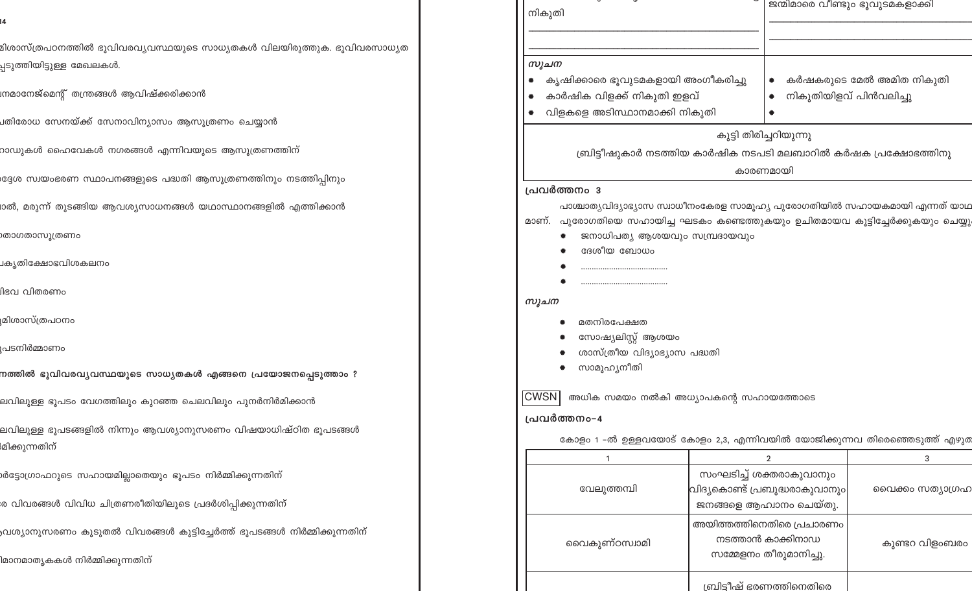| മിശാസ്ത്രപഠനത്തിൽ ഭൂവിവരവ്യവസ്ഥയുടെ സാധ്യതകൾ വിലയിരുത്തുക. ഭൂവിവരസാധ <mark>്യ</mark> ത |                                             |                                                                           |                          |
|----------------------------------------------------------------------------------------|---------------------------------------------|---------------------------------------------------------------------------|--------------------------|
| പ്പടുത്തിയിട്ടുള്ള മേഖലകൾ <mark>.</mark>                                               | സൂചന                                        |                                                                           |                          |
|                                                                                        | കൃഷിക്കാരെ ഭൂവുടമകളായി അംഗീകരിച്ചു          |                                                                           | കർഷകരുടെ മേൽ അമിത നികുതി |
| !നമാനേജ്മെന്റ് തന്ത്രങ്ങൾ ആവിഷ്ക്കരിക്കാൻ                                              | കാർഷിക വിളക്ക് നികുതി ഇളവ്                  |                                                                           | നികുതിയിളവ് പിൻവലിച്ചു   |
| ⊔തിരോധ സേനയ്ക്ക് സേനാവിന്യാസം ആസൂത്രണം ചെയ്യാൻ                                         | വിളകളെ അടിസ്ഥാനമാക്കി നികുതി                |                                                                           |                          |
|                                                                                        |                                             | കുട്ടി തിരിച്ചറിയുന്നു                                                    |                          |
| റാഡുകൾ ഹൈവേകൾ നഗരങ്ങൾ എന്നിവയുടെ ആസൂത്രണത്തിന്                                         |                                             | ബ്രിട്ടീഷുകാർ നടത്തിയ കാർഷിക നടപടി മലബാറിൽ കർഷക പ്രക്ഷോഭത്തിനു            |                          |
|                                                                                        |                                             | കാരണമായി                                                                  |                          |
| ദ്ദേശ സ്വയംഭരണ സ്ഥാപനങ്ങളുടെ പദ്ധതി ആസൂത്രണത്തിനും നടത്തിപ്പിനും                       | പ്രവർത്തനം 3                                |                                                                           |                          |
| രൽ, മരുന്ന് തുടങ്ങിയ ആവശ്യസാധനങ്ങൾ യഥാസ്ഥാനങ്ങളിൽ എത്തിക്കാൻ                           |                                             | പാശ്ചാത്യവിദ്യാഭ്യാസ സ്വാധീനംകേരള സാമൂഹ്യ പുരോഗതിയിൽ സഹായകമായി എന്നത് യാഥ |                          |
|                                                                                        | മാണ്.                                       | പുരോഗതിയെ സഹായിച്ച ഘടകം കണ്ടെത്തുകയും ഉചിതമായവ കൂട്ടിച്ചേർക്കുകയും ചെയ്യു |                          |
| )താഗതാസൂത്രണം                                                                          | ജനാധിപത്യ ആശയവും സമ്പ്രദായവും               |                                                                           |                          |
|                                                                                        | ദേശീയ ബോധം                                  |                                                                           |                          |
| ⊥കൃതിക്ഷോഭവിശകലനം                                                                      |                                             |                                                                           |                          |
| iിഭവ വിതരണ <mark>ം</mark>                                                              |                                             |                                                                           |                          |
|                                                                                        | സൂചന                                        |                                                                           |                          |
| ്രമിശാസ്ത്രപഠനം                                                                        | മതനിരപേക്ഷത                                 |                                                                           |                          |
|                                                                                        | സോഷ്യലിസ്റ്റ് ആശയം                          |                                                                           |                          |
| ൂപടനിർമ്മാണ <mark>ം</mark>                                                             | ശാസ്ത്രീയ വിദ്യാഭ്യാസ പദ്ധതി                |                                                                           |                          |
| നത്തിൽ ഭൂവിവരവ്യവസ്ഥയുടെ സാധ്യതകൾ എങ്ങനെ പ്രയോജനപ്പെടുത്താം ?                          | സാമൂഹ്യനീതി                                 |                                                                           |                          |
|                                                                                        |                                             |                                                                           |                          |
| ലവിലുള്ള ഭൂപടം വേഗത്തിലും കുറഞ്ഞ ചെലവിലും പുനർനിർമിക്കാൻ                               | CWSN  അധിക സമയം നൽകി അധ്യാപകന്റെ സഹായത്തോടെ |                                                                           |                          |
|                                                                                        | പ്രവർത്തനം-4                                |                                                                           |                          |
| ലവിലുള്ള ഭൂപടങ്ങളിൽ നിന്നും ആവശ്യാനുസരണം വിഷയാധിഷ്ഠിത ഭൂപടങ് <mark>ങ</mark> ൾ          |                                             | കോളം 1 –ൽ ഉള്ളവയോട് കോളം 2,3, എന്നിവയിൽ യോജിക്കുന്നവ തിരെഞ്ഞെടുത്ത് എഴുത  |                          |
| <sup>)</sup> മിക്കുന്നതിന്                                                             | $\overline{1}$                              | $\overline{2}$                                                            | 3                        |
| .<br>ശിട്ടോഗ്രാഫറുടെ സഹായമില്ലാതെയും ഭൂപടം നിർമ്മിക്കുന്നതിന്                          |                                             | സംഘടിച്ച് ശക്തരാകുവാനും                                                   |                          |
|                                                                                        | വേലുത്തമ്പി                                 | വിദ്യകൊണ്ട് പ്രബുദ്ധരാകുവാനും                                             | വൈക്കം സത്യാഗ്രഹ         |
| ര വിവരങ്ങൾ വിവിധ ചിത്രണരീതിയിലൂടെ പ്രദർശിപ്പിക്കുന്നത <mark>ി</mark> ന്                |                                             | ജനങ്ങളെ ആഹ്വാനം ചെയ്തു.                                                   |                          |
|                                                                                        |                                             | അയിത്തത്തിനെതിരെ പ്രചാരണം                                                 |                          |
| ,വശ്യാനുസരണം കൂടുതൽ വിവരങ്ങൾ കൂട്ടിച്ചേർത്ത് ഭൂപടങ്ങൾ നിർമ്മിക്കുന്നതിന <mark>്</mark> |                                             | നടത്താൻ കാക്കിനാഡ                                                         |                          |
|                                                                                        | വൈകുണ്ഠസ്വാമി                               | സമ്മേളനം തീരുമാനിച്ചു.                                                    | കുണ്ടറ വിളംബരം           |
| ിമാനമാതൃകകൾ നിർമ്മിക്കുന്നതിന <mark>്</mark>                                           |                                             |                                                                           |                          |
|                                                                                        |                                             | <u>ബ്രിട്ടീഷ് ഭരണത്തിനെതിരെ</u>                                           |                          |

 $\sim$  0

|| നികുതി

ജന്മിമാരെ വീണ്ടും ഭൂവുടമകളാക്കി

14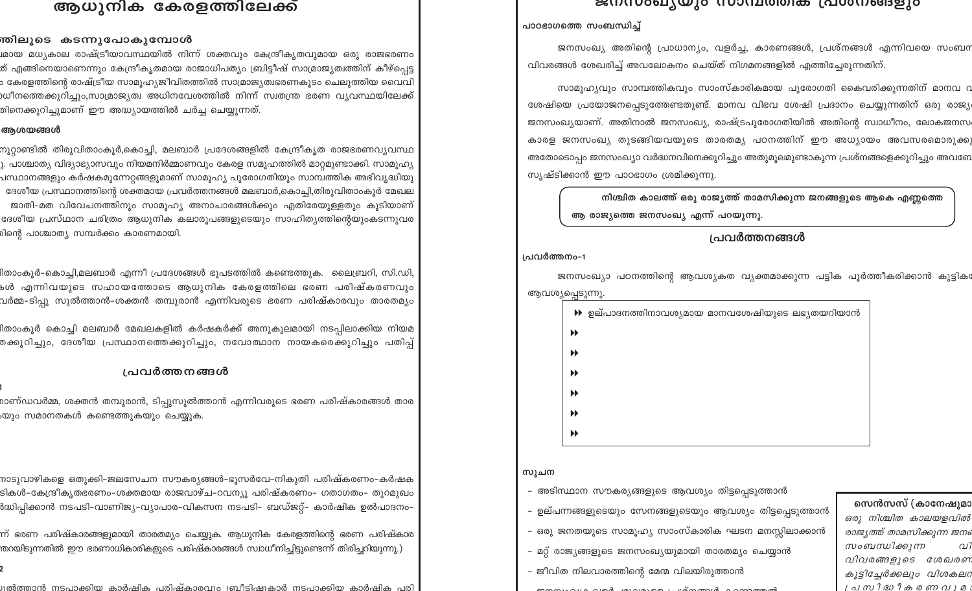# ആധുനിക കേരളത്തിലേക്ക്

### <mark>ന്തിലൂടെ കടന്നുപോകുമ്പോൾ</mark>

.<br>ശായ മധ്യകാല രാഷ്ട്രീയാവസ്ഥയിൽ നിന്ന് ശക്തവും കേന്ദ്രീകൃതവുമായ ഒരു രാജഭരണ<mark>ം</mark> ത് എങ്ങിനെയാണെന്നും കേന്ദ്രീകൃതമായ രാജാധിപത്യം ബ്രിട്ടീഷ് സാമ്രാജ്യത്വത്തിന് കീഴ്പ്പെട്ട ം കേരളത്തിന്റെ രാഷ്ട്രീയ സാമൂഹ്യജീവിതത്തിൽ സാമ്രാജ്യത്വഭരണകൂടം ചെലുത്തിയ വൈവി ,<br>ശ്രീനത്തെക്കുറിച്ചും,സാമ്രാജ്യത്വ അധിനവേശത്തിൽ നിന്ന് സ്വതന്ത്ര ഭരണ വ്യവസ്ഥയിലേക്ക<mark>്</mark> .<br>തിനെക്കുറിച്ചുമാണ് ഈ അദ്ധ്യായത്തിൽ ചർച്ച ചെയ്യുന്നത്.

### ആശയങ്ങൾ

നൂറ്റാണ്ടിൽ തിരുവിതാംകൂർ,കൊച്ചി, മലബാർ പ്രദേശങ്ങളിൽ കേന്ദ്രീകൃത രാജഭരണവ<mark>്യ</mark>വസ്ഥ ു. പാശ്ചാത്യ വിദ്യാഭ്യാസവും നിയമനിർമ്മാണവും കേരള സമൂഹത്തിൽ മാറ്റമുണ്ടാക്കി. സാമൂഹ്യ പസ്ഥാനങ്ങളും കർഷകമുന്നേറ്റങ്ങളുമാണ് സാമൂഹ്യ പുരോഗതിയും സാമ്പത്തിക അഭിവൃദ്ധിയ<mark>ു</mark> ദേശീയ പ്രസ്ഥാനത്തിന്റെ ശക്തമായ പ്രവർത്തനങ്ങൾ മലബാർ,കൊച്ചി,തിരുവിതാംകൂർ മേഖല ജാതി-മത വിവേചനത്തിനും സാമൂഹ്യ അനാചാരങ്ങൾക്കും എതിരേയുള്ളതും കൂടിയാണ് ദേശീയ പ്രസ്ഥാന ചരിത്രം ആധുനിക കലാരൂപങ്ങളുടെയും സാഹിത്യത്തിന്റെയുംകടന്നുവര .<br>മിന്റെ പാശ്ചാത്യ സമ്പർക്കം കാരണമായി.

.<br>ദിതാംകൂർ-കൊച്ചി,മലബാർ എന്നീ പ്രദേശങ്ങൾ ഭൂപടത്തിൽ കണ്ടെത്തുക. ലൈബ്രറി, സി.ഡി, .<br>കൾ എന്നിവയുടെ സഹായത്തോടെ ആധുനിക കേരളത്തിലെ ഭരണ പരിഷ്കരണവു<mark>ം</mark> വർമ്മ–ടിപ്പു സുൽത്താൻ–ശക്തൻ തമ്പുരാൻ എന്നിവരുടെ ഭരണ പരിഷ്കാരവും താരതമ്യം

.<br>1താംകൂർ കൊച്ചി മലബാർ മേഖലകളിൽ കർഷകർക്ക് അനുകൂലമായി നടപ്പിലാക്കിയ നിയമ .<br>തക്കുറിച്ചും, ദേശീയ പ്രസ്ഥാനത്തെക്കുറിച്ചും, നവോത്ഥാന നായകരെക്കുറിച്ചും പതിപ്പ<mark>്</mark>

## <u>പ്രവർത്തനങ്ങൾ</u>

രാണ്ഡവർമ്മ, ശക്തൻ തമ്പുരാൻ, ടിപ്പുസുൽത്താൻ എന്നിവരുടെ ഭരണ പരിഷ്കാരങ്ങൾ താര ,യും സമാനതകൾ കണ്ടെത്തുകയു<mark>ം</mark> ചെയ്യുക.

.<br>നാടുവാഴികളെ ഒതുക്കി-ജലസേചന സൗകര്യങ്ങൾ-ഭൂസർവേ-നികുതി പരിഷ്കരണ<mark>ം</mark>-കർഷക ടികൾ–കേന്ദ്രീകൃതഭരണം–ശക്തമായ രാജവാഴ്ച–റവന്യൂ പരിഷ്കരണം– ഗതാഗതം– തുറമുഖം ർദ്ധിപിക്കാൻ നടപടി-വാണിജ്യ-വ്യാപാര-വികസന നടപടി- ബഡ്ജറ്റ്- കാർഷിക ഉൽപാദനം-

.<br>ന് ഭരണ പരിഷ്കാരങ്ങളുമായി താരതമ്യം ചെയ്യുക. ആധുനിക കേരളത്തിന്റെ ഭരണ പരിഷ<mark>്</mark>കാര .<br>തറയിടുന്നതിൽ ഈ ഭരണാധികാരികളുടെ പരിഷ്കാരങ്ങൾ സ്വാധീനിച്ചിട്ടുണ്ടെന്ന് തിരിച്ചറിയുന്നു.)

<u> നൽത്താൻ നടപാക്കിയ കാർഷിക ചരിഷ്കാരവാപത്ഥീടിഷുകാർ നടപാക്കിയ കാർഷിക ചരി</u>

### ട്ടന്ധ്രാമുമും സാമ്പരത്തെ പ്രശ്നങ്ങളുട

### പാഠഭാഗത്തെ സംബന്ധിച്ച്

ജനസംഖ്യ അതിന്റെ പ്രാധാന്യം, വളർച്ച, കാരണങ്ങൾ, പ്രശ്നങ്ങൾ എന്നിവയെ സംബന വിവരങ്ങൾ ശേഖരിച്ച് അവലോകനം ചെയ്ത് നിഗമനങ്ങളിൽ എത്തിച്ചേരുന്നതിന്.

സാമൂഹ്യവും സാമ്പത്തികവും സാംസ്കാരികമായ പുരോഗതി കൈവരിക്കുന്നതിന് മാനവ റ ശേഷിയെ പ്രയോജനപ്പെടുത്തേണ്ടതുണ്ട്. മാനവ വിഭവ ശേഷി പ്രദാനം ചെയ്യുന്നതിന് ഒരു രാജ്യ ജനസംഖ്യയാണ്. അതിനാൽ ജനസംഖ്യ, രാഷ്ട്രപുരോഗതിയിൽ അതിന്റെ സ്വാധീനം, ലോകജനസ കാരള ജനസംഖ്യ തുടങ്ങിയവയുടെ താരതമ്യ പഠനത്തിന് ഈ അധ്യായം അവസരമൊരുക്ക അതോടൊപ്പം ജനസംഖ്യാ വർദ്ധനവിനെക്കുറിച്ചും അതുമൂലമുണ്ടാകുന്ന പ്രശ്നങ്ങളെക്കുറിച്ചും അവണേ സൃഷ്ടിക്കാൻ ഈ പാഠഭാഗം ശ്രമിക്കുന്നു.

നിശ്ചിത കാലത്ത് ഒരു രാജ്യത്ത് താമസിക്കുന്ന ജനങ്ങളുടെ ആകെ എണ്ണത്തെ ആ രാജ്യത്തെ ജനസംഖ്യ എന്ന് പറയുന്നു.

## പ്രവർത്തനങ്ങൾ

### പ്രവർത്തനം-1

ജനസംഖ്യാ പഠനത്തിന്റെ ആവശ്യകത വ്യക്തമാക്കുന്ന പട്ടിക പൂർത്തീകരിക്കാൻ കുട്ടിക ആവശ്യപ്പെടുന്നു.

|                       | $\blacktriangleright$ ഉല്പാദനത്തിനാവശ്യമായ മാനവശേഷിയുടെ ലഭ്യതയറിയാൻ |  |
|-----------------------|---------------------------------------------------------------------|--|
| $\blacktriangleright$ |                                                                     |  |
| $\blacktriangleright$ |                                                                     |  |
| $\blacktriangleright$ |                                                                     |  |
| $\blacktriangleright$ |                                                                     |  |
| $\blacktriangleright$ |                                                                     |  |
| $\blacktriangleright$ |                                                                     |  |

## സൂചന

- അടിസ്ഥാന സൗകര്യങ്ങളുടെ ആവശ്യം തിട്ടപ്പെടുത്താൻ

- 
- 

- 
- 

– ഉല്പന്നങ്ങളുടെയും സേനങ്ങളുടെയും ആവശ്യം തിട്ടപ്പെടുത്താൻ

- ഒരു ജനതയുടെ സാമൂഹ്യ സാംസ്കാരിക ഘടന മനസ്സിലാക്കാൻ
- മറ്റ് രാജ്യങ്ങളുടെ ജനസംഖ്യയുമായി താരതമ്യം ചെയ്യാൻ
- ജീവിത നിലവാരത്തിന്റെ മേന്മ വിലയിരുത്താൻ
- $\sim$  1.000  $\sim$  1.000  $\sim$  1.000  $\sim$  1.000  $\sim$  1.000  $\sim$  1.000  $\sim$  1.000  $\sim$  1.000  $\sim$

സെൻസസ് (കാനേഷുമാ ഒരു നിശ്ചിത കാലയളവിൽ രാജ്യത്ത് താമസിക്കുന്ന ജനം സംബന്ധിക്കുന്ന വി വിവരങ്ങളുടെ ശേഖരണ കൂട്ടിച്ചേർക്കലും വിശകലറ പ്രസിദ്ധീകരണവാര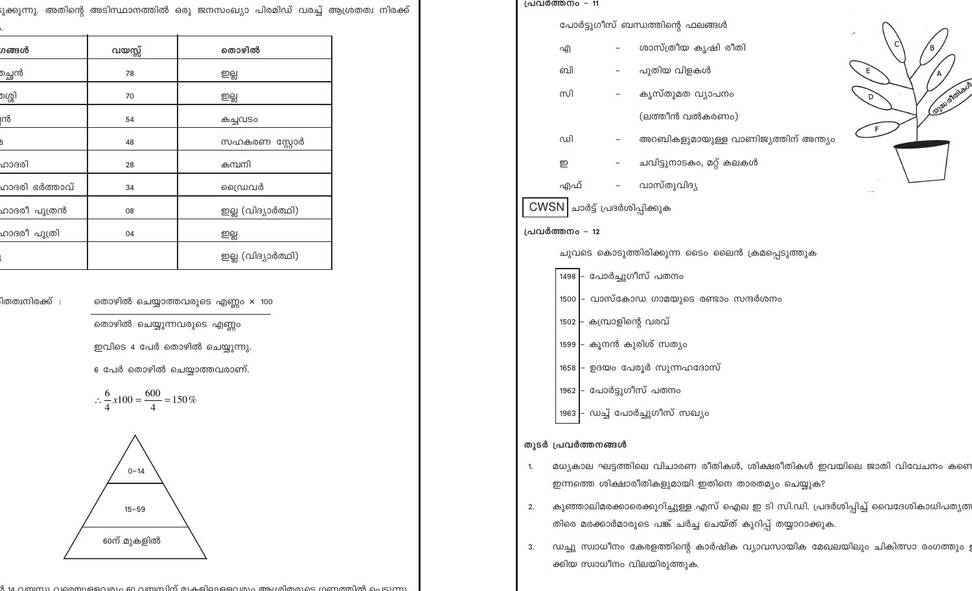|  | ക്കുന്നു. അതിന്റെ അടിസ്ഥാനത്തിൽ ഒരു ജനസംഖ്യാ പിരമിഡ് വരച്ച് ആശ്രതത <mark>്</mark> വ നിരക്ക് |  |  |  |  |
|--|---------------------------------------------------------------------------------------------|--|--|--|--|
|  |                                                                                             |  |  |  |  |

| ഗങ്ങൾ                      | വയസ്സ് | തൊഴിൽ              |
|----------------------------|--------|--------------------|
| മ്പ്ലൻ                     | 78     | ஜ்                 |
| മശ്ശി                      | 70     | ஜ்                 |
| ന്റ                        | 54     | കച്ചവടം            |
| ۩                          | 48     | സഹകരണ സ്റ്റോർ      |
| ഹാദരി                      | 28     | കമ്പനി             |
| ഹാദരി ഭർത്താവ്             | 34     | ഡൈവർ               |
| ഹാദരീ പുത്രൻ               | 08     | ഇല്ല (വിദ്യാർത്ഥി) |
| ഹാദരീ പുത <mark>്രി</mark> | 04     | ஜ்                 |
|                            |        | ഇല്ല (വിദ്യാർത്ഥി) |

.<br>ിതത്വനിരക്ക് :

തൊഴിൽ ചെയ്യാത്തവരുടെ എണ്ണം × 100

തൊഴിൽ ചെയ്യുന്നവരുടെ എണ്ണം

ഇവിടെ 4 പേർ തൊഴിൽ ചെയ്യുന്നു.

6 പേർ തൊഴിൽ ചെയ്യാത്തവരാണ്.

$$
\therefore \frac{6}{4}x100 = \frac{600}{4} = 150\%
$$



11 വസസ്യ വാര്യുമൊവും 60 വസസിന് യക്കിവമൈവും അംഗരിതമുടെ ഗണത്തിൽ ചെറുത്ത

| പ്രവർത്തനം - 11                                 |                                           |  |                                      |                     |  |  |  |
|-------------------------------------------------|-------------------------------------------|--|--------------------------------------|---------------------|--|--|--|
|                                                 | പോർട്ടുഗീസ് ബന്ധത്തിന്റെ ഫലങ്ങൾ           |  |                                      |                     |  |  |  |
|                                                 | എ                                         |  | ശാസ്ത്രീയ കൃഷി രീതി                  |                     |  |  |  |
|                                                 | வி                                        |  |                                      |                     |  |  |  |
|                                                 | സി                                        |  | കൃസ്തുമത വ്യാപനം                     | <b>COISD MONBOY</b> |  |  |  |
|                                                 |                                           |  | (ലത്തീൻ വൽകരണം)                      |                     |  |  |  |
|                                                 | ഡി                                        |  | അറബികളുമായുള്ള വാണിജ്യത്തിന് അന്ത്യം |                     |  |  |  |
|                                                 | ഇ                                         |  | ചവിട്ടുനാടകം, മറ്റ് കലകൾ             |                     |  |  |  |
|                                                 | എഫ്                                       |  | വാസ്തുവിദ്യ                          |                     |  |  |  |
|                                                 | $CWSN$ ചാർട്ട് പ്രദർശിപ്പിക്കുക           |  |                                      |                     |  |  |  |
|                                                 | പ്രവർത്തനം - 12                           |  |                                      |                     |  |  |  |
| ചുവടെ കൊടുത്തിരിക്കുന്ന ടൈം ലൈൻ ക്രമപ്പെടുത്തുക |                                           |  |                                      |                     |  |  |  |
|                                                 | 1498 - പോർച്ചുഗീസ് പതനം                   |  |                                      |                     |  |  |  |
|                                                 | - വാസ്കോഡ ഗാമയുടെ രണ്ടാം സന്ദർശനം<br>1500 |  |                                      |                     |  |  |  |
|                                                 | – കമ്പ്രാളിന്റെ വരവ്<br>1502              |  |                                      |                     |  |  |  |
|                                                 | - കൂനൻ കുരിശ് സത്യം<br>1599               |  |                                      |                     |  |  |  |
|                                                 | - ഉദയം പേരൂർ സുന്നഹദോസ്<br>1658           |  |                                      |                     |  |  |  |
|                                                 | 1962                                      |  | - പോർട്ടുഗീസ് പതനം                   |                     |  |  |  |
|                                                 |                                           |  | 1963  - ഡച്ച് പോർച്ചുഗീസ് സഖ്യം      |                     |  |  |  |

## തുടർ പ്രവർത്തനങ്ങൾ

- മധ്യകാല ഘട്ടത്തിലെ വിചാരണ രീതികൾ, ശിക്ഷരീതികൾ ഇവയിലെ ജാതി വിവേചനം കണെ  $\mathbf{1}$ ഇന്നത്തെ ശിക്ഷാരീതികളുമായി ഇതിനെ താരതമ്യം ചെയ്യുക?
- കുഞ്ഞാലിമരക്കാരെക്കുറിച്ചുള്ള എസ് ഐല ഇ ടി സി.ഡി. പ്രദർശിപ്പിച്ച് വൈദേശികാധിപത്യത  $2.$ തിരെ മരക്കാർമാരുടെ പങ്ക് ചർച്ച ചെയ്ത് കുറിപ്പ് തയ്യാറാക്കുക.
- ഡച്ചു സ്വാധീനം കേരളത്തിന്റെ കാർഷിക വ്യാവസായിക മേഖലയിലും ചികിത്സാ രംഗത്തും ;  $3.$ ക്കിയ സ്വാധീനം വിലയിരുത്തുക.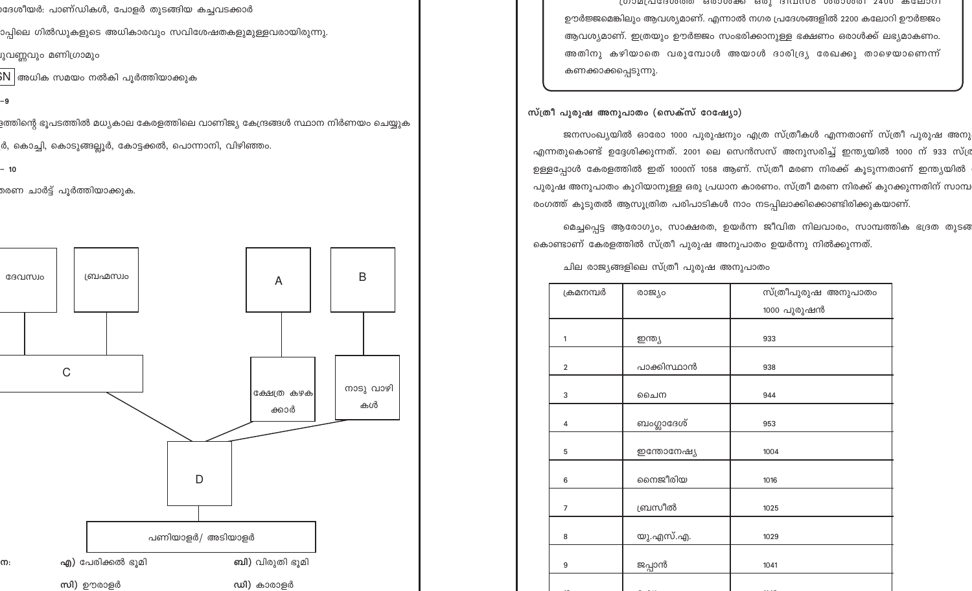)ദേശീയർ: പാണ്ഡികൾ, പോളർ തുടങ്ങിയ കച്ചവടക്കാർ

ാപ്പിലെ ഗിൽഡുകളുടെ അധികാരവും സവിശേഷതകളുമുള്ളവരായിരുന്നു.

്വവണ്ണവും മണിഗ്രാമും

 $\mathrm{sN} \, |$ അധിക സമയം നൽകി പൂർത്തിയാക്കുക

-9

.<br>ളത്തിന്റെ ഭൂപടത്തിൽ മധ്യകാല കേരളത്തിലെ വാണിജ്യ കേന്ദ്രങ്ങൾ സ്ഥാന നിർണയം ചെയ്യുക

ർ, കൊച്ചി, കൊടുങ്ങല്ലൂർ, കോട്ടക്കൽ, പൊന്നാനി, വിഴിഞ്ഞം.

 $-10$ 

രണ ചാർട്ട് പൂർത്തിയാക്കുക.



്രാമവേദേശശ്രം ഒരാശക്ക ഒരു ദഥസം ശരാശരി 2400 കലോറി ഊർജ്ജമെങ്കിലും ആവശ്യമാണ്. എന്നാൽ നഗര പ്രദേശങ്ങളിൽ 2200 കലോറി ഊർജ്ജം ആവശ്യമാണ്. ഇത്രയും ഊർജ്ജം സംഭരിക്കാനുള്ള ഭക്ഷണം ഒരാൾക്ക് ലഭ്യമാകണം. അതിനു കഴിയാതെ വരുമ്പോൾ അയാൾ ദാരിദ്ര്യ രേഖക്കു താഴെയാണെന്ന് കണക്കാക്കപ്പെടുന്നു.

സ്ത്രീ പുരുഷ അനുപാതം (സെക്സ് റേഷ്യോ)

ജനസംഖ്യയിൽ ഓരോ 1000 പുരുഷനും എത്ര സ്ത്രീകൾ എന്നതാണ് സ്ത്രീ പുരുഷ അനു എന്നതുകൊണ്ട് ഉദ്ദേശിക്കുന്നത്. 2001 ലെ സെൻസസ് അനുസരിച്ച് ഇന്ത്യയിൽ 1000 ന് 933 സ്മ്ര ഉള്ളപ്പോൾ കേരളത്തിൽ ഇത് 1000ന് 1058 ആണ്. സ്ത്രീ മരണ നിരക്ക് കൂടുന്നതാണ് ഇന്ത്യയിൽ പുരുഷ അനുപാതം കുറിയാനുള്ള ഒരു പ്രധാന കാരണം. സ്ത്രീ മരണ നിരക്ക് കുറക്കുന്നതിന് സാമ്പ രംഗത്ത് കൂടുതൽ ആസൂത്രിത പരിപാടികൾ നാം നടപ്പിലാക്കിക്കൊണ്ടിരിക്കുകയാണ്.

മെച്ചപ്പെട്ട ആരോഗ്യം, സാക്ഷരത, ഉയർന്ന ജീവിത നിലവാരം, സാമ്പത്തിക ഭദ്രത തുടങ കൊണ്ടാണ് കേരളത്തിൽ സ്ത്രീ പുരുഷ അനുപാതം ഉയർന്നു നിൽക്കുന്നത്.

| ക്രമനമ്പർ      | രാജ്യം      | സ്ത്രീപുരുഷ അനുപാതം |  |  |
|----------------|-------------|---------------------|--|--|
|                |             | 1000 പുരുഷൻ         |  |  |
| $\mathbf{1}$   |             | 933                 |  |  |
|                | ഇന്ത്യ      |                     |  |  |
| $\overline{2}$ | പാക്കിസ്ഥാൻ | 938                 |  |  |
| 3              | ചൈന         | 944                 |  |  |
| 4              | ബംഗ്ലാദേശ്  | 953                 |  |  |
| 5              | ഇന്തോനേഷ്യ  | 1004                |  |  |
| 6              | നൈജീരിയ     | 1016                |  |  |
| $\overline{7}$ | ബ്രസീൽ      | 1025                |  |  |
| 8              | യു.എസ്.എ.   | 1029                |  |  |
| 9              | ജപ്പാൻ      | 1041                |  |  |
|                |             |                     |  |  |

ചില രാജ്യങ്ങളിലെ സ്ത്രീ പുരുഷ അനുപാതം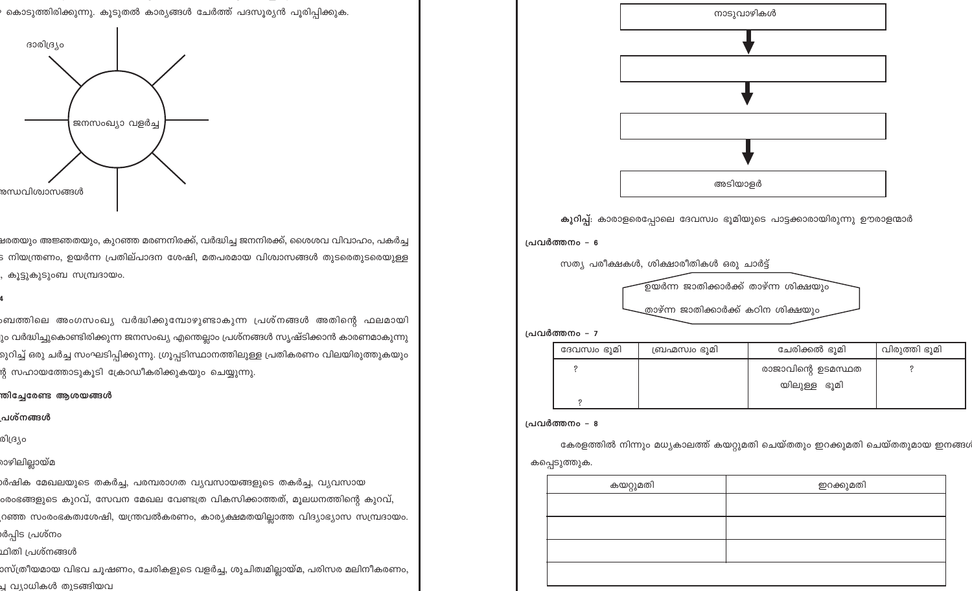ാസ്ത്രീയമായ വിഭവ ചുഷണം, ചേരികളുടെ വളർച്ച, ശുചിത്വമില്ലായ്മ, പരിസര മലിനീകരണം, പ്പ വ്യാധികൾ തുടങ്ങിയവ

.<br>ശിഷിക മേഖലയുടെ തകർച്ച, പരമ്പരാഗത വ്യവസായങ്ങളുടെ തകർച്ച, വ്യവസായ ംരംഭങ്ങളുടെ കുറവ്, സേവന മേഖല വേണ്ടത്ര വികസിക്കാത്തത്, മൂലധനത്തിന്റെ കുറവ്, റഞ്ഞ സംരംഭകത്വശേഷി, യന്ത്രവൽകരണം, കാര്യക്ഷമതയില്ലാത്ത വിദ്യാഭ്യാസ സമ്പ്രദായം. ർപ്പിട പ്രശ്നം

<mark>ഷരതയും അജ്ഞതയും, കുറഞ്ഞ മരണനിരക്ക്, വർദ്ധിച്ച ജനനിരക്ക്,</mark> ശൈശവ വിവാഹം, പകർച്ച ട നിയന്ത്രണം, ഉയർന്ന പ്രതില്പാദന ശേഷി, മതപരമായ വിശ<mark>്</mark>വാസങ്ങൾ തുടരെതുടരെയുള്ള , കൂട്ടുകുടുംബ സമ്പ്രദായം.

ംബത്തിലെ അംഗസംഖ്യ വർദ്ധിക്കുമ്പോഴുണ്ടാകുന്ന പ്രശ്നങ്ങൾ അതിന്റെ ഫലമായി

ും വർദ്ധിച്ചുകൊണ്ടിരിക്കുന്ന ജനസംഖ്യ എന്തെല്ലാം പ്രശ്നങ്ങൾ സൃഷ്ടിക്കാൻ കാരണമാകുന്നു

റുറിച്ച് ഒരു ചർച്ച സംഘടിപ്പിക്കുന്നു. ഗ്രൂപ്പടിസ്ഥാനത്തിലുള്ള പ്രതികരണം വിലയിരുത്തുകയു<mark>ം</mark>



ന്റ സഹായത്തോടുകൂടി ക്രോഡീകരിക്കുകയും ചെയ്യുന്നു.

തിച്ചേരേണ്ട ആശയങ്ങൾ

പശ്നങ്ങൾ

രാഴിലില്ലായ്മ

ഥിതി പ്രശ്നങ്ങൾ

രിദ്ര്യം



നാടുവാഴികൾ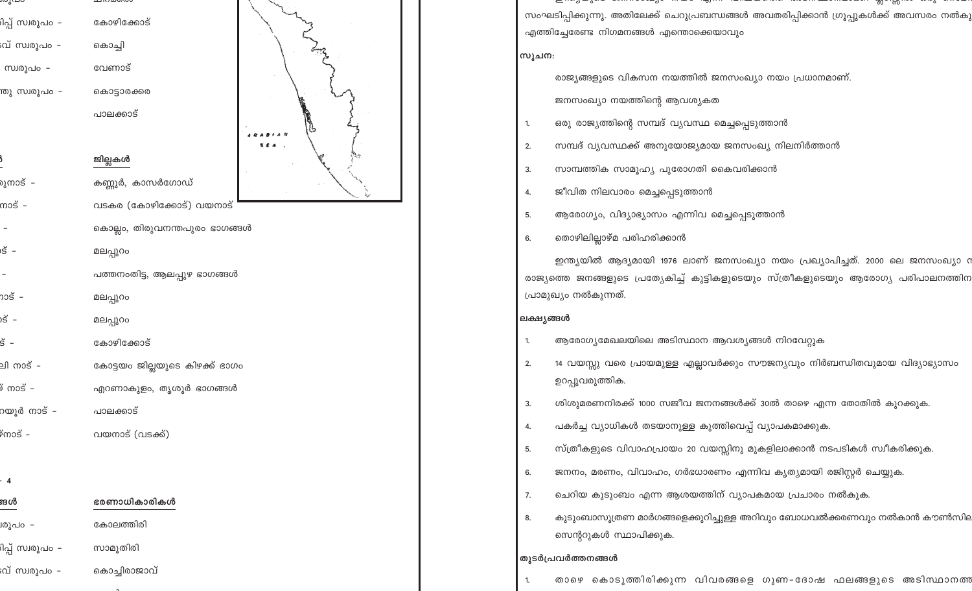| സൂപ്പറ                   | mingowoo                       |  |
|--------------------------|--------------------------------|--|
| ിപ്പ് സ്വരൂപം -          | കോഴിക്കോട്                     |  |
| പ് സ്വരൂപം -             | കൊച്ചി                         |  |
| സ്വരൂപം –                | വേണാട്                         |  |
| തു സ്വരൂപം - കൊട്ടാരക്കര |                                |  |
|                          | പാലക്കാട്                      |  |
|                          |                                |  |
|                          | ജില്ലകൾ                        |  |
| മുനാട് -                 | കണ്ണൂർ, കാസർഗോഡ്               |  |
| നാട് –                   | വടകര (കോഴിക്കോട്) വയനാട്       |  |
|                          | കൊല്ലം, തിരുവനന്തപുരം ഭാഗങ്ങൾ  |  |
| າຣັ -                    | മലപ്പുറം                       |  |
|                          | പത്തനംതിട്ട, ആലപ്പുഴ ഭാഗങ്ങൾ   |  |
| າວຮັ –                   | മലപ്പുറം                       |  |
| )ຣັ –                    | മലപ്പുറം                       |  |
| $\breve{\mathsf{s}}$ -   | കോഴിക്കോട്                     |  |
| ലി നാട് –                | കോട്ടയം ജില്ലയുടെ കിഴക്ക് ഭാഗം |  |
| ≬ ຕວຣັ −                 | എറണാകുളം, തൃശൂർ ഭാഗങ്ങൾ        |  |
| റയൂർ നാട് -              | പാലക്കാട്                      |  |
| ິ <sup>ກ</sup> ຕາວຣັ     | വയനാട് (വടക്ക്)                |  |
|                          |                                |  |
| - 4                      |                                |  |
| ങൾ                       | ഭരണാധികാരികൾ                   |  |
| ിരൂപം -                  | കോലത്തിരി                      |  |
| ിപ്പ് സ്വരൂപം -          | സാമൂതിരി                       |  |
| :വ് സ്വരൂപം -            | കൊച്ചിരാജാവ്                   |  |

സംഘടിപ്പിക്കുന്നു. അതിലേക്ക് ചെറുപ്രബന്ധങ്ങൾ അവതരിപ്പിക്കാൻ ഗ്രൂപ്പുകൾക്ക് അവസരം നൽകു എത്തിച്ചേരേണ്ട നിഗമനങ്ങൾ എന്തൊക്കെയാവും സൂചന: രാജ്യങ്ങളുടെ വികസന നയത്തിൽ ജനസംഖ്യാ നയം പ്രധാനമാണ്. ജനസംഖ്യാ നയത്തിന്റെ ആവശ്യകത ഒരു രാജ്യത്തിന്റെ സമ്പദ് വ്യവസ്ഥ മെച്ചപ്പെടുത്താൻ  $\mathbf{1}$ സമ്പദ് വ്യവസ്ഥക്ക് അനുയോജ്യമായ ജനസംഖ്യ നിലനിർത്താൻ  $2.$ സാമ്പത്തിക സാമൂഹ്യ പുരോഗതി കൈവരിക്കാൻ 3. ജീവിത നിലവാരം മെച്ചപ്പെടുത്താൻ 4. ആരോഗ്യം, വിദ്യാഭ്യാസം എന്നിവ മെച്ചപ്പെടുത്താൻ 5. തൊഴിലില്ലാഴ്മ പരിഹരിക്കാൻ 6. ഇന്ത്യയിൽ ആദ്യമായി 1976 ലാണ് ജനസംഖ്യാ നയം പ്രഖ്യാപിച്ചത്. 2000 ലെ ജനസംഖ്യാ റ രാജ്യത്തെ ജനങ്ങളുടെ പ്രത്യേകിച്ച് കുട്ടികളുടെയും സ്ത്രീകളുടെയും ആരോഗ്യ പരിപാലനത്തിന പ്രാമുഖ്യം നൽകുന്നത്. ലക്ഷ്യങ്ങൾ ആരോഗ്യമേഖലയിലെ അടിസ്ഥാന ആവശ്യങ്ങൾ നിറവേറ്റുക  $\mathbf{1}$ 14 വയസ്സു വരെ പ്രായമുള്ള എല്ലാവർക്കും സൗജന്യവും നിർബന്ധിതവുമായ വിദ്യാഭ്യാസം  $2.$ ഉറപ്പുവരുത്തിക. ശിശുമരണനിരക്ക് 1000 സജീവ ജനനങ്ങൾക്ക് 30ൽ താഴെ എന്ന തോതിൽ കുറക്കുക. 3. പകർച്ച വ്യാധികൾ തടയാനുള്ള കുത്തിവെപ്പ് വ്യാപകമാക്കുക. 4. സ്ത്രീകളുടെ വിവാഹപ്രായം 20 വയസ്സിനു മുകളിലാക്കാൻ നടപടികൾ സ്വീകരിക്കുക. 5. ജനനം, മരണം, വിവാഹം, ഗർഭധാരണം എന്നിവ കൃത്യമായി രജിസ്റ്റർ ചെയ്യുക. 6. ചെറിയ കുടുംബം എന്ന ആശയത്തിന് വ്യാപകമായ പ്രചാരം നൽകുക. 7.

കുടുംബാസൂത്രണ മാർഗങ്ങളെക്കുറിച്ചുള്ള അറിവും ബോധവൽക്കരണവും നൽകാൻ കൗൺസില 8. സെന്ററുകൾ സ്ഥാപിക്കുക.

## തുടർപ്രവർത്തനങ്ങൾ

താഴെ കൊടുത്തിരിക്കുന്ന വിവരങ്ങളെ ഗുണ-ദോഷ ഫലങ്ങളുടെ അടിസ്ഥാനത്ത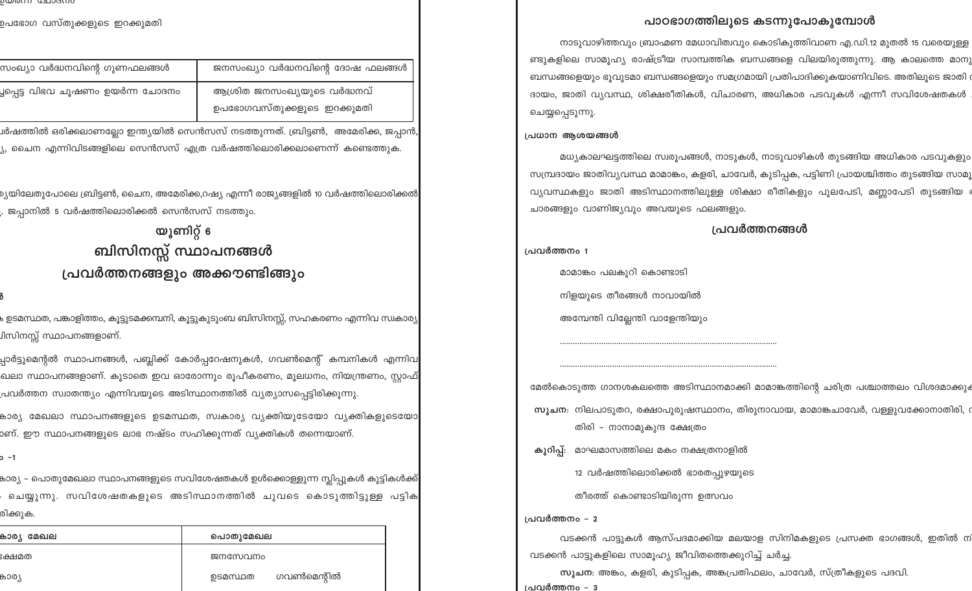## പാഠഭാഗത്തിലൂടെ കടന്നുപോകുമ്പോൾ

നാടുവാഴിത്തവും ബ്രാഹ്മണ മേധാവിത്വവും കൊടികുത്തിവാണ എ.ഡി.12 മുതൽ 15 വരെയുള്ള ണ്ടുകളിലെ സാമൂഹ്യ രാഷ്ട്രീയ സാമ്പത്തിക ബന്ധങ്ങളെ വിലയിരുത്തുന്നു. ആ കാലത്തെ മാനു ബന്ധങ്ങളെയും ഭൂവുടമാ ബന്ധങ്ങളെയും സമഗ്രമായി പ്രതിപാദിക്കുകയാണിവിടെ. അതിലൂടെ ജാതി ദായം, ജാതി വ്യവസ്ഥ, ശിക്ഷരീതികൾ, വിചാരണ, അധികാര പടവുകൾ എന്നീ സവിശേഷതകൾ ചെയ്യപ്പെടുന്നു.

### പ്രധാന ആശയങ്ങൾ

മധ്യകാലഘട്ടത്തിലെ സ്വരൂപങ്ങൾ, നാടുകൾ, നാടുവാഴികൾ തുടങ്ങിയ അധികാര പടവുകളും സമ്പ്രദായം ജാതിവ്യവസ്ഥ മാമാങ്കം, കളരി, ചാവേർ, കുടിപ്പക, പട്ടിണി പ്രായശ്ചിത്തം തുടങ്ങിയ സാമൂ വ്യവസ്ഥകളും ജാതി അടിസ്ഥാനത്തിലുള്ള ശിക്ഷാ രീതികളും പുലപേടി, മണ്ണാപേടി തുടങ്ങിയ ര ചാരങ്ങളും വാണിജ്യവും അവയുടെ ഫലങ്ങളും.

### പ്രവർത്തനങ്ങൾ

പ്രവർത്തനം 1

മാമാങ്കം പലകുറി കൊണ്ടാടി

നിളയുടെ തീരങ്ങൾ നാവായിൽ

അമ്പേന്തി വില്ലേന്തി വാളേന്തിയും

മേൽകൊടുത്ത ഗാനശകലത്തെ അടിസ്ഥാനമാക്കി മാമാങ്കത്തിന്റെ ചരിത്ര പശ്ചാത്തലം വിശദമാക്കും സൂചന: നിലപാടുതറ, രക്ഷാപുരുഷസ്ഥാനം, തിരുനാവായ, മാമാങ്കചാവേർ, വള്ളുവക്കോനാതിരി, ര തിരി – നാനാമുകുന്ദ ക്ഷേത്രം

കുറിപ്പ്: മാഘമാസത്തിലെ മകം നക്ഷത്രനാളിൽ

12 വർഷത്തിലൊരിക്കൽ ഭാരതപുഴയുടെ

തീരത്ത് കൊണ്ടാടിയിരുന്ന ഉത്സവം

പ്രവർത്തനം - 2

വടക്കൻ പാട്ടുകൾ ആസ്പദമാക്കിയ മലയാള സിനിമകളുടെ പ്രസക്ത ഭാഗങ്ങൾ, ഇതിൽ ന വടക്കൻ പാട്ടുകളിലെ സാമുഹ്യ ജീവിതത്തെക്കുറിച്ച് ചർച്ച.

സൂചന: അങ്കം, കളരി, കുടിപ്പക, അങ്കപ്രതിഫലം, ചാവേർ, സ്ത്രീകളുടെ പദവി. പ്രവർത്തനം – 3

סנוזכוכובים נווזסושש

ഉപഭോഗ വസ്തുക്കളുടെ ഇറക്കുമതി

| സംഖ്യാ വർദ്ധനവിന്റെ ഗുണഫലങ്ങൾ      | ജനസംഖ്യാ വർദ്ധനവിന്റെ ദോഷ ഫലങ്ങൾ |
|------------------------------------|----------------------------------|
| ച്ചപ്പെട്ട വിഭവ ചൂഷണം ഉയർന്ന ചോദനം | ആശ്രിത ജനസംഖ്യയുടെ വർദ്ധനവ്      |
|                                    | ഉപഭോഗവസ്തുക്കളുടെ ഇറക്കുമതി      |

.<br>ചർഷത്തിൽ ഒരിക്കലാണല്ലോ ഇന്ത്യയിൽ സെൻസസ് നടത്തുന്നത്. ബ്രിട്ടൺ, അമേരിക്ക, ജപ്പാൻ, ്യ, ചൈന എന്നിവിടങ്ങളിലെ സെൻസസ് എത്ര വർഷത്തിലൊരിക്കലാണെന്ന് കണ്ടെത്തുക.

.<br>മൃയിലേതുപോലെ ബ്രിട്ടൺ, ചൈന, അമേരിക്ക,റഷ്യ എന്നീ രാജ്യങ്ങളിൽ 10 വർഷത്തിലൊരിക്കൽ . ജപ്പാനിൽ 5 വർഷത്തിലൊരിക്കൽ സെൻസസ് നടത്തു<mark>ം</mark>.

> യൂണിറ്റ് 6 ബിസിനസ്സ് സ്ഥാപനങ്ങൾ പ്രവർത്തനങ്ങളും അക്കൗണ്ടിങ്ങും

.<br>ക ഉടമസ്ഥത, പങ്കാളിത്തം, കൂട്ടുടമക്കമ്പനി, കൂട്ടുകുടുംബ ബിസിനസ്സ്, സഹകരണം എന്നിവ സ<mark>്</mark>വകാര്യ .<br>ചിസിനസ്സ് സ്ഥാപനങ്ങളാണ്.

പ്പാർട്ടുമെന്റൽ സ്ഥാപനങ്ങൾ, പബ്ലിക്ക് കോർപ്പറേഷനുകൾ, ഗവൺമെന്റ് കമ്പനികൾ എന്നിവ<mark>,</mark> ഖലാ സ്ഥാപനങ്ങളാണ്. കൂടാതെ ഇവ ഓരോന്നും രൂപീകരണം, മൂലധനം, നിയന്ത്രണം, സ്റ്റാഫ് ,പവർത്തന സ്വാതന്ത്യ<mark>ം</mark> എന്നിവയുടെ അടിസ്ഥാനത്തിൽ വ്യത്യാസപ്പെട്ടിരിക്കുന്നു.

കാര്യ മേഖലാ സ്ഥാപനങ്ങളുടെ ഉടമസ്ഥത, സ്വകാര്യ വ്യക്തിയുടേയോ വ്യക്തികളുടെയോ<mark>.</mark> ാണ്. ഈ സ്ഥാപനങ്ങളുടെ ലാഭ നഷ്ടം സഹിക്കുന്നത് വ്യക്തികൾ തന്നെയാണ്.

o -1

കാര്യ – പൊതുമേഖലാ സ്ഥാപനങ്ങളുടെ സവിശേഷതകൾ ഉൾക്കൊള്ളുന്ന സ്ലിപ്പുകൾ കുട്ടികൾക്ക<mark>്</mark> ചെയ്യുന്നു. സവിശേഷതകളുടെ അടിസ്ഥാനത്തിൽ ചുവടെ കൊടുത്തിട്ടുള്ള പട്ടിക രിക്കുക.

| കാര്യ<br>മേഖല | പൊതുമേഖല              |
|---------------|-----------------------|
| ഃക്ഷമത        | ജനസേവനം               |
| കാര്യ         | ഗവൺമെന്റിൽ<br>ഉടമസ്ഥത |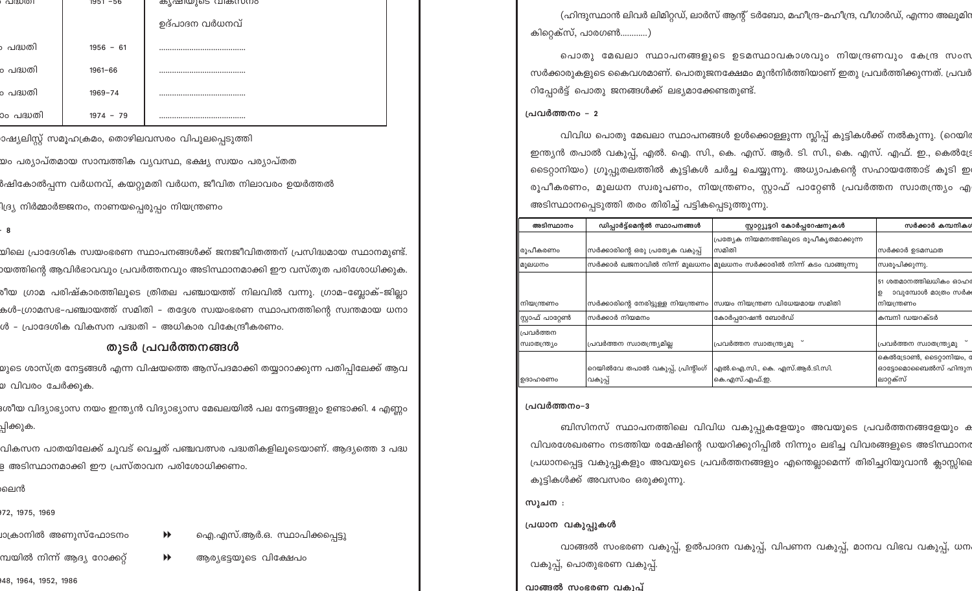| പദ്ധത്രി  | 1951 -56    | കൃഷ്യയുടെ വകസനം |
|-----------|-------------|-----------------|
|           |             | ഉദ്പാദന വർധനവ്  |
| ം പദ്ധതി  | $1956 - 61$ |                 |
| ം പദ്ധതി  | $1961 - 66$ |                 |
| ം പദ്ധതി  | $1969 - 74$ |                 |
| ാം പദ്ധതി | $1974 - 79$ |                 |

ാഷ്യലിസ്റ്റ് സമൂഹക്രമം, തൊഴിലവസരം വിപുലപ്പെടുത്ത<mark>ി</mark>

.<br>യം പര്യാപ്തമായ സാമ്പത്തിക വൃവസ്ഥ, ഭക്ഷ്യ സ്വയം പര്യാപ്തത

ർഷികോൽപ്പന്ന വർധനവ്, കയറ്റുമതി വർധന, ജീവിത നിലാവരം ഉയർത്തൽ

ിദ്ര്യ നിർമ്മാർജ്ജനം, നാണയപ്പെരുപ്പ<mark>ം</mark> നിയന്ത്രണം

.<br>യിലെ പ്രാദേശിക സ്വയംഭരണ സ്ഥാപനങ്ങൾക്ക് ജനജീവിതത്തന് പ്രസിദ്ധമായ സ്ഥാനമുണ്ട്. ായത്തിന്റെ ആവിർഭാവവും പ്രവർത്തനവും അടിസ്ഥാനമാക്കി ഈ വസ്തുത പരിശോധിക്കുക. ം<br>രീയ ഗ്രാമ പരിഷ്കാരത്തിലൂടെ ത്രിതല പഞ്ചായത്ത് നിലവിൽ വന്നു. ഗ്രാമ–ബ്ലോക്–ജില<mark>്</mark>ലാ കൾ–ഗ്രാമസഭ–പഞ്ചായത്ത് സമിതി – തദ്ദേശ സ്വയംഭരണ സ്ഥാപനത്തിന്റെ സ്വന്തമായ ധനാ ൾ - പ്രാദേശിക വികസന പദ്ധതി - അധികാര വികേന്ദ്രീകരണം.

## തുടർ പ്രവർത്തനങ്ങൾ

.<br>യുടെ ശാസ്ത്ര നേട്ടങ്ങൾ എന്ന വിഷയത്തെ ആസ്പദമാക്കി തയ്യാറാക്കുന്ന പതിപ്പിലേക്ക് ആവ യ വിവരം ചേർക്കുക.

ദശീയ വിദ്യാഭ്യാസ നയം ഇന്ത്യൻ വിദ്യാഭ്യാസ മേഖലയിൽ പല നേട്ടങ്ങളും ഉണ്ടാക്കി. 4 എണ്ണ<mark>ം</mark> പ്പിക്കുക.

വികസന പാതയിലേക്ക് ചുവട് വെച്ചത് പഞ്ചവത്സര പദ്ധതികളിലുടെയാണ്. ആദ്യത്തെ 3 പദ്ധ .<br>ള അടിസ്ഥാനമാക്കി ഈ പ്രസ്താവന പരിശോധിക്കണ<mark>ം</mark>.

ലെൻ

972, 1975, 1969

<u>്ര</u>ഗാനിൽ അണുസ്ഫോടനം

മ്പയിൽ നിന്ന് ആദ്യ റോക്കറ്റ്

 $\blacktriangleright$ 

948, 1964, 1952, 1986

ഐ.എസ്.ആർ.ഒ. സ്ഥാപിക്കപ്പെട്ടു

ആര്യഭട്ടയുടെ വിക്ഷേപം

(ഹിന്ദുസ്ഥാൻ ലിവർ ലിമിറ്റഡ്, ലാർസ് ആന്റ് ടർബോ, മഹീന്ദ്ര-മഹീന്ദ്ര, വീഗാർഡ്, എന്നാ അലൂമിറ കിറ്റെക്സ്, പാരഗൺ............)

പൊതു മേഖലാ സ്ഥാപനങ്ങളുടെ ഉടമസ്ഥാവകാശവും നിയന്ദ്രണവും കേന്ദ്ര സംന സർക്കാരുകളുടെ കൈവശമാണ്. പൊതുജനക്ഷേമം മുൻനിർത്തിയാണ് ഇതു പ്രവർത്തിക്കുന്നത്. പ്രവർ റിപ്പോർട്ട് പൊതു ജനങ്ങൾക്ക് ലഭ്യമാക്കേണ്ടതുണ്ട്.

### ച്രവർത്തനം – 2

വിവിധ പൊതു മേഖലാ സ്ഥാപനങ്ങൾ ഉൾക്കൊള്ളുന്ന സ്ലിപ്പ് കുട്ടികൾക്ക് നൽകുന്നു. (റെയിര ഇന്ത്യൻ തപാൽ വകുപ്പ്, എൽ. ഐ. സി., കെ. എസ്. ആർ. ടി. സി., കെ. എസ്. എഫ്. ഇ., കെൽട്രേ ടൈറ്റാനിയം) ഗ്രൂപ്പുതലത്തിൽ കുട്ടികൾ ചർച്ച ചെയ്യുന്നു. അധ്യാപകന്റെ സഹായത്തോട് കൂടി ഇ രൂപീകരണം, മൂലധന സ്വരൂപണം, നിയന്ത്രണം, സ്റ്റാഫ് പാറ്റേൺ പ്രവർത്തന സ്വാതന്ത്ര്യം എ അടിസ്ഥാനപ്പെടുത്തി തരം തിരിച്ച് പട്ടികപ്പെടുത്തുന്നു.

| അടിസ്ഥാനം                    | ഡിപ്പാർട്ട്മെന്റൽ സ്ഥാപനങ്ങൾ                 | സ്റ്റാറ്റ്യൂട്ടറി കോർപ്പറേഷനുകൾ                                       | സർക്കാർ കമ്പനിക                                                |
|------------------------------|----------------------------------------------|-----------------------------------------------------------------------|----------------------------------------------------------------|
|                              |                                              | പ്രത്യേക നിയമനത്തിലൂടെ രൂപീകൃതമാക്കുന്ന                               |                                                                |
| ∥രൂപീകരണം                    | സർക്കാരിന്റെ ഒരു പ്രത്യേക വകുപ്പ്            | സമിതി                                                                 | സർക്കാർ ഉടമസ്ഥത                                                |
| <b>  </b> മൂലധനം             |                                              | സർക്കാർ ഖജനാവിൽ നിന്ന് മൂലധനം മൂലധനം സർക്കാരിൽ നിന്ന് കടം വാങ്ങുന്നു  | സ്വരൂപിക്കുന്നു.                                               |
| ിനിയന്ത്രണം                  |                                              | ന്ധർക്കാരിന്റെ നേരിട്ടുള്ള നിയന്ത്രണം  സ്വയം നിയന്ത്രണ വിധേയമായ സമിതി | 51 ശതമാനത്തിലധികം ഓഹ<br>ാവുമ്പോൾ മാത്രം സർക<br>ഉ<br>നിയന്ത്രണം |
| സ്റ്റാഫ് പാറ്റേൺ             | സർക്കാർ നിയമനം                               | കോർപ്പറേഷൻ ബോർഡ്                                                      | കമ്പനി ഡയറക്ടർ                                                 |
| ്പ്രവർത്തന<br>∥സ്വാതന്ത്ര്യം | പ്രവർത്തന സ്വാതന്ത്ര്യമില്ല                  | പ്രവർത്തന സ്വാതന്ത്ര്യമു                                              | പ്രവർത്തന സ്വാതന്ത്ര്യമു                                       |
| ്രമാഹരണം                     | റെയിൽവേ തപാൽ വകുപ്പ്, പ്രിന്റിംഗ്<br>വകുപ്പ് | എൽ.ഐ.സി., കെ. എസ്.ആർ.ടി.സി.<br>കെ.എസ്.എഫ്.ഇ.                          | കെൽട്രോൺ, ടൈറ്റാനിയം,<br>ഓട്ടോമൊബൈൽസ് ഹിന്ദുറ<br>ലാറ്റക്സ്     |

### പ്രവർത്തനം-3

ബിസിനസ് സ്ഥാപനത്തിലെ വിവിധ വകുപ്പുകളേയും അവയുടെ പ്രവർത്തനങ്ങളേയും ക വിവരശേഖരണം നടത്തിയ രമേഷിന്റെ ഡയറിക്കുറിപ്പിൽ നിന്നും ലഭിച്ച വിവരങ്ങളുടെ അടിസ്ഥാനര പ്രധാനപ്പെട്ട വകുപ്പുകളും അവയുടെ പ്രവർത്തനങ്ങളും എന്തെല്ലാമെന്ന് തിരിച്ചറിയുവാൻ ക്ലാസ്സിലെ കുട്ടികൾക്ക് അവസരം ഒരുക്കുന്നു.

സൂചന :

## പ്രധാന വകുപ്പുകൾ

വാങ്ങൽ സംഭരണ വകുപ്പ്, ഉൽപാദന വകുപ്പ്, വിപണന വകുപ്പ്, മാനവ വിഭവ വകുപ്പ്, ധന വകുപ്പ്, പൊതുഭരണ വകൂപ്.

### വാങ്ങൽ സംഭരണ വക്വപ്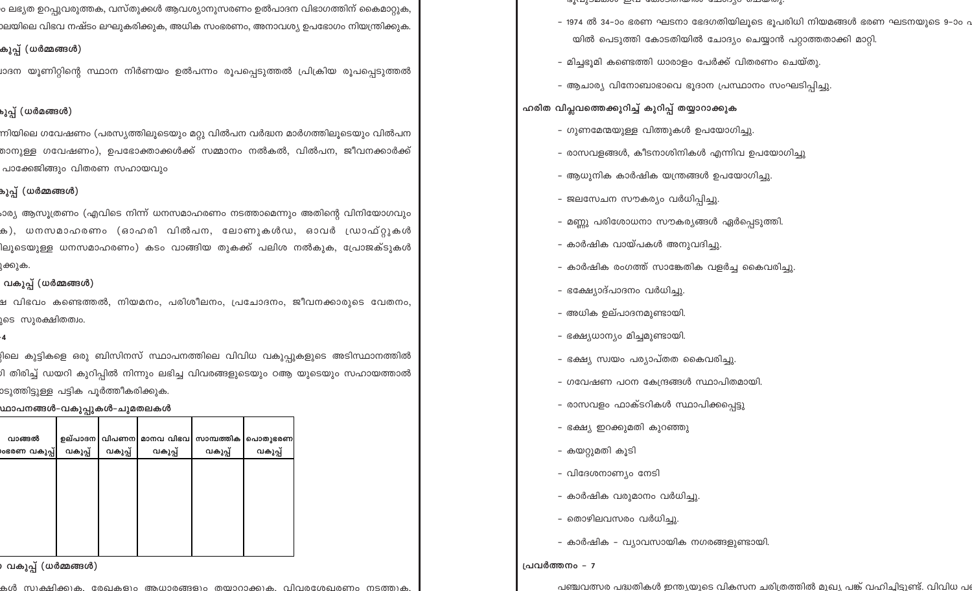ം ലഭ്യത ഉറപുവരുത്തക, വസ്തുക്കൾ ആവശ്യാനുസരണം ഉൽപാദന വിഭാഗത്തിന് കൈമാറ്റുക, .<br>മയിലെ വിഭവ നഷ്ടം ലഘുകരിക്കുക, അധിക സംഭരണം, അനാവശ്യ ഉപഭോഗം നിയന്ത്രിക്കുക.

## കുപ്പ് (ധർമ്മങ്ങൾ)

്രദന യുണിറ്റിന്റെ സ്ഥാന നിർണയം ഉൽപന്നം രൂപപെടുത്തൽ പ്രിക്രിയ രൂപപ<mark>െ</mark>ടുത്തൽ

# പ്പെ് (ധർമങ്ങൾ)

ന്നിയിലെ ഗവേഷണം (പരസൃത്തിലൂടെയും മറ്റു വിൽപന വർദ്ധന മാർഗത്തിലൂടെയും വിൽപന .<br>താനുള്ള ഗവേഷണം), ഉപഭോക്താക്കൾക്ക് സമ്മാനം നൽകൽ, വിൽപന, ജീവനക്കാർക്ക് പാക്കേജിങ്ങും വിതരണ സഹായവും

# **കുപ്പ് (ധർമ്മങ്ങൾ)**

ംാര്യ ആസൂത്രണം (എവിടെ നിന്ന് ധനസമാഹരണം നടത്താമെന്നും അതിന്റെ വിനിയോഗവും ക), ധനസമാഹരണം (ഓഹരി വിൽപന, ലോണുകൾഡ, ഓവർ ഡ്രാഫ്റ്റുകൾ ിലൂടെയുള്ള ധനസമാഹരണം) കടം വാങ്ങിയ തുകക്ക് പലിശ നൽകുക, പ്രോജക്ടുകൾ ുക്കുക.

# വകുപ്പ് (ധർമ്മങ്ങൾ)

ച്ച വിഭവം കണ്ടെത്തൽ, നിയമനം, പരിശീലനം, പ്രചോദനം, ജീവനക്കാരുടെ വേതനം, ുടെ സുരക്ഷിതത്വം.

.<br>വിലെ കുട്ടികളെ ഒരു ബിസിനസ് സ്ഥാപനത്തിലെ വിവിധ വകുപ്പുകളുടെ അടിസ്ഥാനത്തിൽ .<br>ഗി തിരിച്ച് ഡയറി കുറിപ്പിൽ നിന്നും ലഭിച്ച വിവരങ്ങളുടെയും ഠആ യുടെയും സഹായത്താൽ .<br>osൂത്തിട്ടുള്ള പട്ടിക പുർത്തീകരിക്കുക.

## <u> ഡാപനങ്ങൾ-വകുപ്പുകൾ-ചുമതലകൾ</u>

| വാങ്ങൽ       |         |         | ഉല്പാദന വിപണന മാനവ വിഭവ | സാമ്പത്തിക | പൊതുഭരണ |
|--------------|---------|---------|-------------------------|------------|---------|
| ശഭരണ വകുപ്പ് | വകുപ്പ് | വകുപ്പ് | വകുപ്പ്                 | വകുപ്പ്    | വകുപ്പ് |
|              |         |         |                         |            |         |
|              |         |         |                         |            |         |
|              |         |         |                         |            |         |
|              |         |         |                         |            |         |
|              |         |         |                         |            |         |
|              |         |         |                         |            |         |
|              |         |         |                         |            |         |

# ) വകുപ്പ് (ധർമ്മങ്ങൾ)

കൾ സുക്ഷിക്കുക. മേഖകളും അധാരങ്ങളും തയാറാക്കുക. വിവരശേഖരണം നടത്തുക

- ഭൂവുാമയാഗ ഇവ യോറായിയിൽ ചോറ്ററ ചെയ്തു
- 1974 ൽ 34–ാം ഭരണ ഘടനാ ഭേദഗതിയിലൂടെ ഭൂപരിധി നിയമങ്ങൾ ഭരണ ഘടനയുടെ 9–ാം . യിൽ പെടുത്തി കോടതിയിൽ ചോദ്യം ചെയ്യാൻ പറ്റാത്തതാക്കി മാറ്റി.
- മിച്ചഭുമി കണ്ടെത്തി ധാരാളം പേർക്ക് വിതരണം ചെയ്തു.
- ആചാര്യ വിനോബാഭാവെ ഭൂദാന പ്രസ്ഥാനം സംഘടിപ്പിച്ചു.

# ഹരിത വിപ്ലവത്തെക്കുറിച്ച് കുറിപ്പ് തയ്യാറാക്കുക

- ഗുണമേന്മയുള്ള വിത്തുകൾ ഉപയോഗിച്ചു.
- രാസവളങ്ങൾ, കീടനാശിനികൾ എന്നിവ ഉപയോഗിച്ചു
- ആധുനിക കാർഷിക യന്ത്രങ്ങൾ ഉപയോഗിച്ചു.
- 
- ജലസേചന സൗകര്യം വർധിപ്പിച്ചു.
- 
- മണ്ണു പരിശോധനാ സൗകര്യങ്ങൾ ഏർപ്പെടുത്തി.
- കാർഷിക വായ്പകൾ അനുവദിച്ചു.
- കാർഷിക രംഗത്ത് സാങ്കേതിക വളർച്ച കൈവരിച്ചു.
- ഭക്ഷ്യോദ്പാദനം വർധിച്ചു.
- അധിക ഉല്പാദനമുണ്ടായി.
- ഭക്ഷ്യധാന്യം മിച്ചമുണ്ടായി.
- ഭക്ഷ്യ സ്വയം പര്യാപ്തത കൈവരിച്ചു.
- ഗവേഷണ പഠന കേന്ദ്രങ്ങൾ സ്ഥാപിതമായി.
- രാസവളം ഫാക്ടറികൾ സ്ഥാപിക്കപ്പെട്ടു
- ഭക്ഷ്യ ഇറക്കുമതി കുറഞ്ഞു
- കയറ്റുമതി കൂടി
- വിദേശനാണ്യം നേടി
- കാർഷിക വരുമാനം വർധിച്ചു.
- തൊഴിലവസരം വർധിച്ചു.
- കാർഷിക വ്യാവസായിക നഗരങ്ങളുണ്ടായി.

## പ്രവർത്തനം - 7

പഞ്ചവത്സര പദ്ധതികൾ ഇന്ത്യയുടെ വികസന ചരിത്രത്തിൽ മുഖ്യ പങ്ക് വഹിചിടുണ്ട്. വിവിധ പ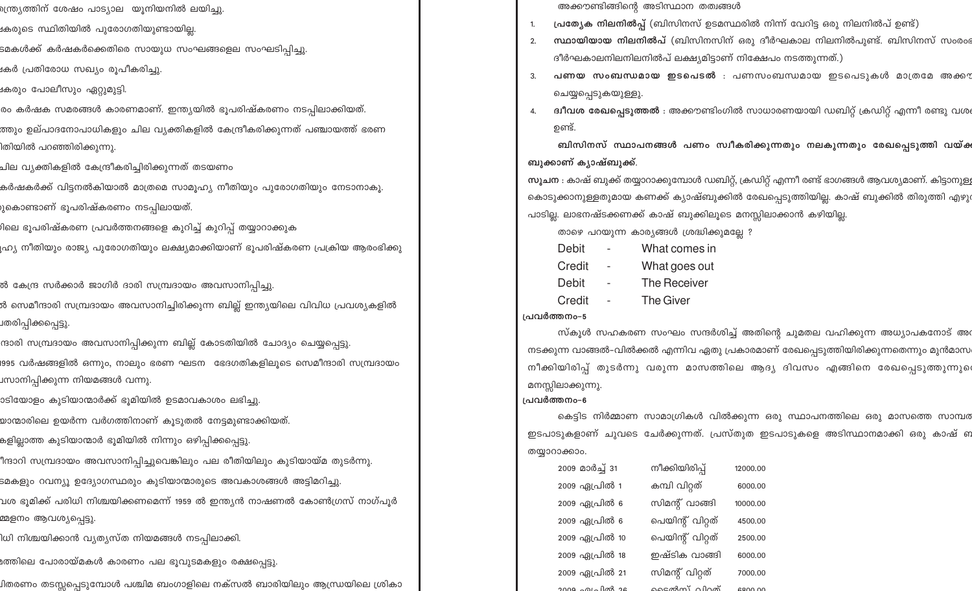- ം<br>സ്ത്യത്തിന് ശേഷം പാട്യാല യൂനിയനിൽ ലയിച്ചു.
- غ Mones സ്ഥിതിയിൽ പുരോഗതിയുണ്ടായി<u>ല</u>്ല.
- ടമകൾക്ക് കർഷകർക്കെതിരെ സായുധ സംഘങ്ങളെല സംഘടിപ്പിച്ചു.
- $\alpha$ ർ പ്രതിരോധ സഖ്യം രൂപീകരിച്ചു.
- $\alpha$ കരും പോലീസും ഏറ്റുമുട്ടി.
- രം കർഷക സമരങ്ങൾ കാരണമാണ്. ഇന്ത്യയിൽ ഭൂപരിഷ്കരണം നടപ്പിലാക്കിയത്.
- ത്തും ഉല്പാദനോപാധികളും ചില വൃക്തികളിൽ കേന്ദ്രീകരിക്കുന്നത് പഞ്ചായത്ത് ഭരണ
- ിതിയിൽ പറഞ്ഞിരിക്കുന്നു.
- ചില വ്യക്തികളിൽ കേന്ദ്രീകരിച്ചിരിക്കുന്നത് തടയണം
- കർഷകർക്ക് വിട്ടനൽകിയാൽ മാത്രമെ സാമൂഹ്യ നീതിയും പുരോഗതിയും നേടാനാകൂ.
- ുകൊണ്ടാണ് ഭൂപരിഷ്കരണം നടപ്പിലായത്.
- )ിലെ ഭൂപരിഷ്കരണ പ്രവർത്തനങ്ങളെ കൂറിച്ച് കൂറിപ് തയ്യാറാക്കുക
- ്രഹ്യ നീതിയും രാജ്യ പുരോഗതിയും ലക്ഷ്യമാക്കിയാണ് ഭൂപരിഷ്കരണ പ്രക്രിയ ആരംഭിക്കു
- ൽ കേന്ദ്ര സർക്കാർ ജാഗിർ ദാരി സമ്പ്രദായം അവസാനിപ്പിച്ചു.
- ൽ സെമീന്ദാരി സമ്പ്രദായം അവസാനിച്ചിരിക്കുന്ന ബില്ല് ഇന്ത്യയിലെ വിവിധ പ്രവശ്യകളിൽ ⊔തരിപ്പിക്കപ്പെട്ടു<mark>.</mark>
- ന്ദാരി സമ്പ്രദായം അവസാനിപ്പിക്കുന്ന ബില്ല് കോടതിയിൽ ചോദ്യം ചെയ്യപ്പെട്ടു. खോ വർഷങ്ങളിൽ ഒന്നും, നാലും ഭരണ ഘടന ഭേദഗതികളിലൂടെ സെമീന്ദാരി സമ്പ്രദായം ്വസാനിപ്പിക്കുന്ന നിയമങ്ങൾ വന്നു.
- ാടിയോളം കൂടിയാന്മാർക്ക് ഭൂമിയിൽ ഉടമാവകാശം ലഭിച്ചു.
- യാന്മാരിലെ ഉയർന്ന വർഗത്തിനാണ് കൂടുതൽ നേട്ടമുണ്ടാക്കിയത്.
- കളില്ലാത്ത കുടിയാന്മാർ ഭൂമിയിൽ നിന്നും ഒഴിപ്പിക്കപ്പെട്ടു.
- ീന്ദാറി സമ്പ്രദായം അവസാനിപ്പിച്ചുവെങ്കിലും പല രീതിയിലും കുടിയായ്മ തുടർന്നു.
- .<br>ടമകളും റവന്യൂ ഉദ്യോഗസ്ഥരും കുടിയാന്മാരുടെ അവകാശങ്ങൾ അട്ടിമറിച്ചു
- ്വശ ഭൂമിക്ക് പരിധി നിശ്ചയിക്കണമെന്ന് 1959 ൽ ഇന്ത്യൻ നാഷണൽ കോൺഗ്രസ് നാഗ്പൂർ മ്മളനം ആവശ്യപെട്ടു.
- ിധി നിശ്ചയിക്കാൻ വ്യത്യസ്ത നിയമങ്ങൾ നടപ്പില<mark>ാ</mark>ക്കി.
- $\alpha$ ത്തിലെ പോരായ്മകൾ കാരണം പല ഭൂവുടമകളും രക്ഷപ്പെട്ടു.
- ്വിതരണം തടസ്സപ്പെടുമ്പോൾ പശ്ചിമ ബംഗാളിലെ നക്സൽ ബാരിയിലും ആന്ധ്രയിലെ ശ്രികാ
- അക്കൗണ്ടിങ്ങിന്റെ അടിസ്ഥാന തത്വങ്ങൾ
- 1. **പ്രത്യേക നിലനിൽപ്പ്** (ബിസിനസ് ഉടമസ്ഥരിൽ നിന്ന് വേറിട്ട ഒരു നിലനിൽപ് ഉണ്ട്)
- 2. **സ്ഥായിയായ നിലനിൽപ്** (ബിസിനസിന് ഒരു ദീർഘകാല നിലനിൽപുണ്ട്. ബിസിനസ് സംരംഭ ദീർഘകാലനിലനിലനിൽപ് ലക്ഷ്യമിട്ടാണ് നിക്ഷേപം നടത്തുന്നത്.)
- 3. **പണയ സംബന്ധമായ ഇടപെടൽ** : പണസംബന്ധമായ ഇടപെടുകൾ മാത്രമേ അക്കൗ ചെയ്യപ്പെടുകയുള്ളു.
- **ദ്വീവശ രേഖപ്പെടുത്തൽ** : അക്കൗണ്ടിംഗിൽ സാധാരണയായി ഡബിറ്റ് ക്രഡിറ്റ് എന്നീ രണ്ടു വശ ഉണ്ട്.

്ബിസിനസ് സ്ഥാപനങ്ങൾ പണം സ്വീകരിക്കുന്നതും നലകുന്നതും രേഖപ്പെടുത്തി വയ്ക ബുക്കാണ് കൃാഷ്ബുക്<u>ക്</u>.

സൂ**ചന** : കാഷ് ബുക്ക് തയ്യാറാക്കുമ്പോൾ ഡബിറ്റ്, ക്രഡിറ്റ് എന്നീ രണ്ട് ഭാഗങ്ങൾ ആവശ്യമാണ്. കിട്ടാനുള് കൊടുക്കാനുള്ളതുമായ കണക്ക് ക്യാഷ്ബുക്കിൽ രേഖപ്പെടുത്തിയില്ല. കാഷ് ബുക്കിൽ തിരുത്തി എഴു പാടില്ല. ലാഭനഷ്ടക്കണക്ക് കാഷ് ബുക്കിലൂടെ മനസ്സിലാക്കാൻ കഴിയില്ല.

താഴെ പറയുന്ന കാര്യങ്ങൾ ശ്രദ്ധിക്കുമല്ലേ ?

- Debit What comes in
- Credit What goes out
- Debit The Receiver
- Credit The Giver

### **പ്രവർത്തനം-5**

സ്കൂൾ സഹകരണ സംഘം സന്ദർശിച്ച് അതിന്റെ ചുമതല വഹിക്കുന്ന അധ്യാപകനോട് അ**ര** \msക്കുന്ന വാങ്ങൽ–വിൽക്കൽ എന്നിവ ഏതു പ്രകാരമാണ് രേഖപ്പെടുത്തിയിരിക്കുന്നതെന്നും മുൻമാസ നീക്കിയിരിപ്പ് തുടർന്നു വരുന്ന മാസത്തിലെ ആദ്യ ദിവസം എങ്ങിനെ രേഖപ്പെടുത്തുന്നുെ മനസ്സിലാക്കുന്നു.

### **പ്രവർത്തനം-6**

കെട്ടിട നിർമ്മാണ സാമാഗ്രികൾ വിൽക്കുന്ന ഒരു സ്ഥാപനത്തിലെ ഒരു മാസത്തെ സാമ്പര ് ഇടപാടുകളാണ് ചുവടെ ചേർക്കുന്നത്. പ്രസ്തുത ഇടപാടുകളെ അടിസ്ഥാനമാക്കി ഒരു കാഷ് **ണ** തയ്യാറാക്കാം.

| കമ്പി വിറ്റത്<br>2009 ഏപ്രിൽ 1<br>6000.00<br>സിമന്റ് വാങ്ങി<br>2009 ഏപ്രിൽ 6<br>10000.00<br>പെയിന്റ് വിറ്റത്<br>2009 ഏപ്രിൽ 6<br>4500.00<br>2009 ഏപ്രിൽ 10<br>പെയിന്റ് വിറ്റത്<br>2500.00<br>ഇഷ്ടിക വാങ്ങി<br>2009 ഏപ്രിൽ 18<br>6000.00<br>സിമന്റ് വിറ്റത്<br>2009 ഏപ്രിൽ 21<br>7000.00 |  |
|-----------------------------------------------------------------------------------------------------------------------------------------------------------------------------------------------------------------------------------------------------------------------------------------|--|
|                                                                                                                                                                                                                                                                                         |  |
|                                                                                                                                                                                                                                                                                         |  |
|                                                                                                                                                                                                                                                                                         |  |
|                                                                                                                                                                                                                                                                                         |  |
|                                                                                                                                                                                                                                                                                         |  |
|                                                                                                                                                                                                                                                                                         |  |
| ടെൽസ് വിറത്<br>$2009.2012$ $mg$ $26$<br>RRNN NN                                                                                                                                                                                                                                         |  |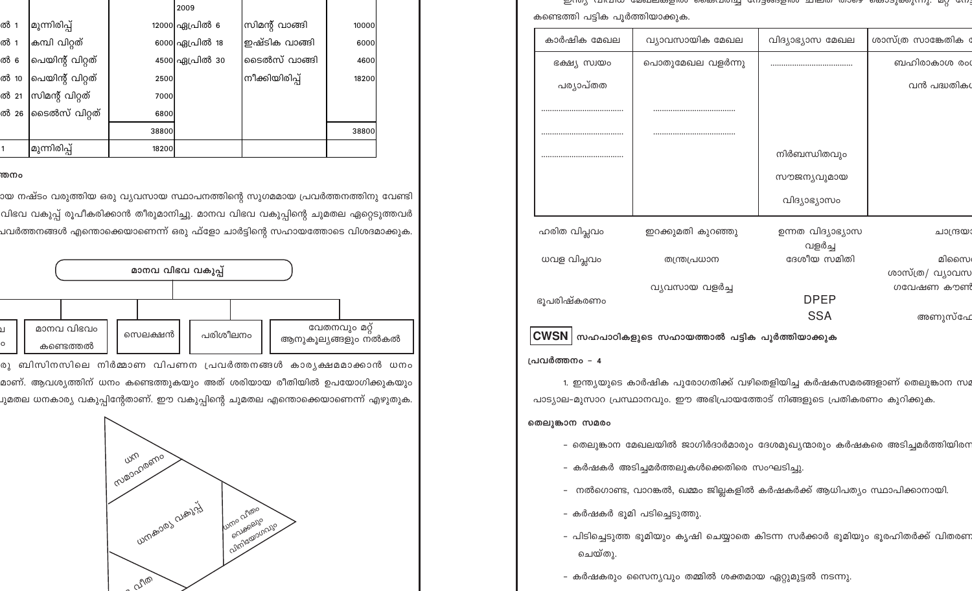| കണ്ടെത്തി പട്ടിക പൂർത്തിയാക്കുക. |                   |                             |                     |  |
|----------------------------------|-------------------|-----------------------------|---------------------|--|
| കാർഷിക മേഖല                      | വ്യാവസായിക മേഖല   | വിദ്യാഭ്യാസ മേഖല            | ശാസ്ത്ര സാങ്കേതിക ര |  |
| ഭക്ഷ്യ സ്വയം                     | പൊതുമേഖല വളർന്നു  |                             | ബഹിരാകാശ രം         |  |
| പര്യാപ്തത                        |                   |                             | വൻ പദ്ധതിക¢         |  |
|                                  |                   |                             |                     |  |
|                                  |                   |                             |                     |  |
|                                  |                   | നിർബന്ധിതവും                |                     |  |
|                                  |                   | സൗജന്യവുമായ                 |                     |  |
|                                  |                   | വിദ്യാഭ്യാസം                |                     |  |
| ഹരിത വിപ്ലവം                     | ഇറക്കുമതി കുറഞ്ഞു | ഉന്നത വിദ്യാഭ്യാസ<br>വളർച്ച | ചാന്ദ്രയാ           |  |
| ധവള വിപ്ലവം                      | തന്ത്രപ്രധാന      | ദേശീയ സമിതി                 | മിസൈ                |  |
|                                  |                   |                             | ശാസ്ത്ര/ വ്യാവസ     |  |
| ഭൂപരിഷ്കരണം                      | വ്യവസായ വളർച്ച    | <b>DPEP</b>                 | ഗവേഷണ കൗൺ           |  |
|                                  |                   | <b>SSA</b>                  | അണുസ്ഫേ             |  |
|                                  |                   |                             |                     |  |

 $\frac{1}{2}$  and  $\frac{1}{2}$  and  $\frac{1}{2}$  and  $\frac{1}{2}$  and  $\frac{1}{2}$  and  $\frac{1}{2}$  and  $\frac{1}{2}$  and  $\frac{1}{2}$  and  $\frac{1}{2}$  and  $\frac{1}{2}$  and  $\frac{1}{2}$  and  $\frac{1}{2}$  and  $\frac{1}{2}$  and  $\frac{1}{2}$  and  $\frac{1}{2}$  and  $\frac{1}{2}$  a

|  | $\textbf{CWSN}\big\vert$ സഹപാഠികളുടെ സഹായത്താൽ പട്ടിക പൂർത്തിയാക്കുക |  |  |  |
|--|----------------------------------------------------------------------|--|--|--|
|  |                                                                      |  |  |  |

### പ്രവർത്തനം - 4

1. ഇന്ത്യയുടെ കാർഷിക പുരോഗതിക്ക് വഴിതെളിയിച്ച കർഷകസമരങ്ങളാണ് തെലുങ്കാന സ്ഥ പാട്യാല-മുസാറ പ്രസ്ഥാനവും. ഈ അഭിപ്രായത്തോട് നിങ്ങളുടെ പ്രതികരണം കുറിക്കുക.

### തെലുങ്കാന സമരം

- തെലുങ്കാന മേഖലയിൽ ജാഗിർദാർമാരും ദേശമുഖ്യന്മാരും കർഷകരെ അടിച്ചമർത്തിയിരന
- കർഷകർ അടിച്ചമർത്തലുകൾക്കെതിരെ സംഘടിച്ചു.
- നൽഗൊണ്ട, വാറങ്കൽ, ഖമ്മം ജില്ലകളിൽ കർഷകർക്ക് ആധിപത്യം സ്ഥാപിക്കാനായി.
- കർഷകർ ഭൂമി പടിച്ചെടുത്തു.
- പിടിച്ചെടുത്ത ഭൂമിയും കൃഷി ചെയ്യാതെ കിടന്ന സർക്കാർ ഭൂമിയും ഭൂരഹിതർക്ക് വിതരണ ചെയ്തു.
- കർഷകരും സൈന്യവും തമ്മിൽ ശക്തമായ ഏറ്റുമുട്ടൽ നടന്നു.

|      |                       |       | 2009           |                |       |  |
|------|-----------------------|-------|----------------|----------------|-------|--|
| ൽ 1  | മുന്നിരിപ്പ്          |       | 12000 ഏപ്രിൽ 6 | സിമന്റ് വാങ്ങി | 10000 |  |
| ൽ 1  | കമ്പി വിറ്റത്         |       | 6000 ഏപ്രിൽ 18 | ഇഷ്ടിക വാങ്ങി  | 6000  |  |
| ൽ 6  | പെയിന്റ് വിറ്റത്      |       | 4500 ഏപ്രിൽ 30 | ടൈൽസ് വാങ്ങി   | 4600  |  |
| ൽ 10 | പെയിന്റ് വിറ്റത്      | 2500  |                | നീക്കിയിരിപ്   | 18200 |  |
| ൽ 21 | സിമന്റ് വിറ്റത്       | 7000  |                |                |       |  |
|      | ൽ 26 കെടൽസ് വിറ്റത്   | 6800  |                |                |       |  |
|      |                       | 38800 |                |                | 38800 |  |
|      | <b>'</b> മുന്നിരിപ്പ് | 18200 |                |                |       |  |

### തനം

ായ നഷ്ടം വരുത്തിയ ഒരു വ്യവസായ സ്ഥാപനത്തിന്റെ സുഗമമായ പ്രവർത്തനത്തിനു വേണ്ട<mark>ി</mark> വിഭവ വകുപ്പ് രൂപീകരിക്കാൻ തീരുമാനിച്ചു. മാനവ വിഭവ വകുപ്പിന്റെ ചുമതല ഏറ്റെടുത്തവർ പവർത്തനങ്ങൾ എന്തൊക്കെയാണെന്ന് ഒരു ഫ്ളോ ചാർട്ടിന്റെ സഹായത്തോടെ വിശദമാക്കു<mark>ക.</mark>



രു ബിസിനസിലെ നിർമ്മാണ വിപണന പ്രവർത്തനങ്ങൾ കാരൃക്ഷമമാക്കാൻ ധനം മാണ്. ആവശ്യത്തിന് ധനം കണ്ടെത്തുകയും അത് ശരിയായ രീതിയിൽ ഉപയോഗിക്കുകയ<mark>ു</mark>ം ചുമതല ധനകാര്യ വകുപ്പിന്റേതാണ്. ഈ വകുപ്പിന്റെ ചുമതല എന്തൊക്കെയാണെന്ന് എഴുതു<mark>ക.</mark>

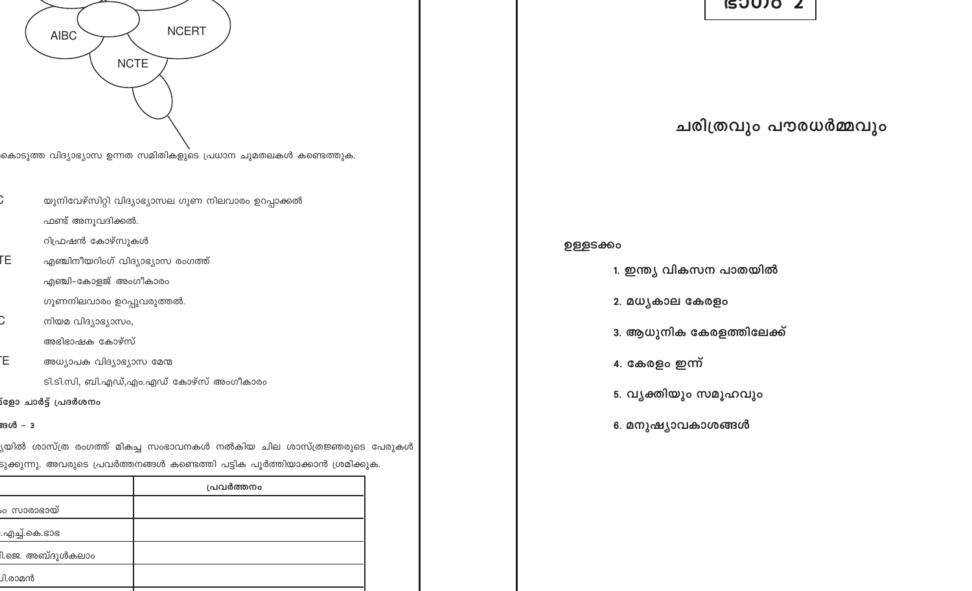# യുനിവേഴ്സിറ്റി വിദ്യാഭ്യാസല ഗുണ നിലവാരം ഉറപ്പാക്കൽ ഫണ്ട് അനുവദിക്കൽ. റിഫ്രഷൻ കോഴ്സുകൾ ΓE. എഞ്ചിനീയറിംഗ് വിദ്യാഭ്യാസ രംഗത്ത് എഞ്ചി–കോളജ് അംഗീകാരം ഗുണനിലവാരം ഉറപ്പുവരുത്തൽ. നിയമ വിദ്യാഭ്യാസം, അഭിഭാഷക കോഴ്സ് Έ. അധ്യാപക വിദ്യാഭ്യാസ മേന്മ ടി.ടി.സി, ബി.എഡ്,എം.എഡ് കോഴ്സ് അംഗീകാരം

**NCTE** 

**NCERT** 

.<br>കൊടുത്ത വിദ്യാഭ്യാസ ഉന്നത സമിതികളുടെ പ്രധാന ചുമതലകൾ കണ്ടെത്തുക.

.<br>രാർട്ട് പ്രദർശനം

**AIBC** 

ങൾ - 3

<mark>ൃയിൽ ശാസ്ത്ര രംഗത്ത് മികച്ച സംഭാവനകൾ നൽകിയ ചില ശാസ്ത്രജ്ഞരുടെ പേരുകൾ</mark> ടുക്കുന്നു. അവരുടെ പ്രവർത്തനങ്ങൾ കണ്ടെത്തി പട്ടിക പൂർത്തിയാക്കാൻ ശ്രമിക്കുക.

|                  | പ്രവർത്തനം |
|------------------|------------|
| ം സാരാഭായ്       |            |
| .എച്ച്.കെ.ഭാഭ    |            |
| 1.ജെ. അബ്ദുൾകലാം |            |
| J1.രാമൻ          |            |

**ISUUJO Z** 

ചരിത്രവും പൗരധർമ്മവും

# ഉള്ളടക്കം

- 1. ഇന്ത്യ വികസന പാതയിൽ
- 2. മധൃകാല കേരളം
- 
- 3. ആധുനിക കേരളത്തിലേക്ക്
- 
- 4. കേരളം ഇന്ന്
- 5. വൃക്തിയും സമൂഹവും
- 

6. മനുഷ്യാവകാശങ്ങൾ

- 
- 
- 
- 
- 
- 
-